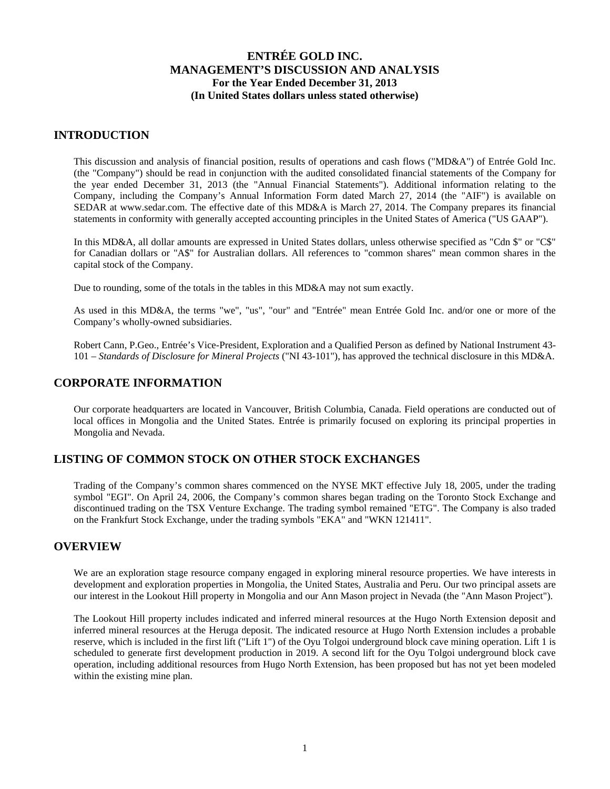### **INTRODUCTION**

This discussion and analysis of financial position, results of operations and cash flows ("MD&A") of Entrée Gold Inc. (the "Company") should be read in conjunction with the audited consolidated financial statements of the Company for the year ended December 31, 2013 (the "Annual Financial Statements"). Additional information relating to the Company, including the Company's Annual Information Form dated March 27, 2014 (the "AIF") is available on SEDAR at www.sedar.com. The effective date of this MD&A is March 27, 2014. The Company prepares its financial statements in conformity with generally accepted accounting principles in the United States of America ("US GAAP").

In this MD&A, all dollar amounts are expressed in United States dollars, unless otherwise specified as "Cdn \$" or "C\$" for Canadian dollars or "A\$" for Australian dollars. All references to "common shares" mean common shares in the capital stock of the Company.

Due to rounding, some of the totals in the tables in this MD&A may not sum exactly.

As used in this MD&A, the terms "we", "us", "our" and "Entrée" mean Entrée Gold Inc. and/or one or more of the Company's wholly-owned subsidiaries.

Robert Cann, P.Geo., Entrée's Vice-President, Exploration and a Qualified Person as defined by National Instrument 43- 101 – *Standards of Disclosure for Mineral Projects* ("NI 43-101"), has approved the technical disclosure in this MD&A.

### **CORPORATE INFORMATION**

Our corporate headquarters are located in Vancouver, British Columbia, Canada. Field operations are conducted out of local offices in Mongolia and the United States. Entrée is primarily focused on exploring its principal properties in Mongolia and Nevada.

## **LISTING OF COMMON STOCK ON OTHER STOCK EXCHANGES**

Trading of the Company's common shares commenced on the NYSE MKT effective July 18, 2005, under the trading symbol "EGI". On April 24, 2006, the Company's common shares began trading on the Toronto Stock Exchange and discontinued trading on the TSX Venture Exchange. The trading symbol remained "ETG". The Company is also traded on the Frankfurt Stock Exchange, under the trading symbols "EKA" and "WKN 121411".

### **OVERVIEW**

We are an exploration stage resource company engaged in exploring mineral resource properties. We have interests in development and exploration properties in Mongolia, the United States, Australia and Peru. Our two principal assets are our interest in the Lookout Hill property in Mongolia and our Ann Mason project in Nevada (the "Ann Mason Project").

The Lookout Hill property includes indicated and inferred mineral resources at the Hugo North Extension deposit and inferred mineral resources at the Heruga deposit. The indicated resource at Hugo North Extension includes a probable reserve, which is included in the first lift ("Lift 1") of the Oyu Tolgoi underground block cave mining operation. Lift 1 is scheduled to generate first development production in 2019. A second lift for the Oyu Tolgoi underground block cave operation, including additional resources from Hugo North Extension, has been proposed but has not yet been modeled within the existing mine plan.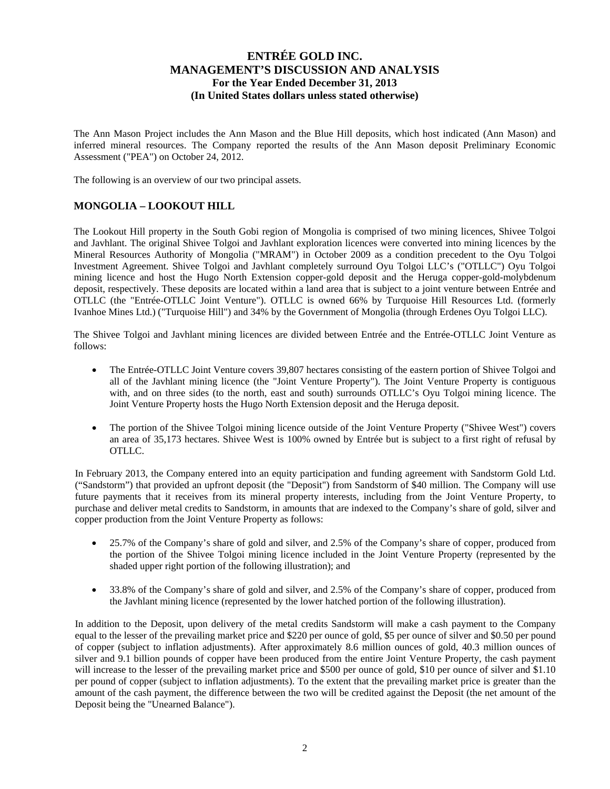The Ann Mason Project includes the Ann Mason and the Blue Hill deposits, which host indicated (Ann Mason) and inferred mineral resources. The Company reported the results of the Ann Mason deposit Preliminary Economic Assessment ("PEA") on October 24, 2012.

The following is an overview of our two principal assets.

## **MONGOLIA – LOOKOUT HILL**

The Lookout Hill property in the South Gobi region of Mongolia is comprised of two mining licences, Shivee Tolgoi and Javhlant. The original Shivee Tolgoi and Javhlant exploration licences were converted into mining licences by the Mineral Resources Authority of Mongolia ("MRAM") in October 2009 as a condition precedent to the Oyu Tolgoi Investment Agreement. Shivee Tolgoi and Javhlant completely surround Oyu Tolgoi LLC's ("OTLLC") Oyu Tolgoi mining licence and host the Hugo North Extension copper-gold deposit and the Heruga copper-gold-molybdenum deposit, respectively. These deposits are located within a land area that is subject to a joint venture between Entrée and OTLLC (the "Entrée-OTLLC Joint Venture"). OTLLC is owned 66% by Turquoise Hill Resources Ltd. (formerly Ivanhoe Mines Ltd.) ("Turquoise Hill") and 34% by the Government of Mongolia (through Erdenes Oyu Tolgoi LLC).

The Shivee Tolgoi and Javhlant mining licences are divided between Entrée and the Entrée-OTLLC Joint Venture as follows:

- The Entrée-OTLLC Joint Venture covers 39,807 hectares consisting of the eastern portion of Shivee Tolgoi and all of the Javhlant mining licence (the "Joint Venture Property"). The Joint Venture Property is contiguous with, and on three sides (to the north, east and south) surrounds OTLLC's Oyu Tolgoi mining licence. The Joint Venture Property hosts the Hugo North Extension deposit and the Heruga deposit.
- The portion of the Shivee Tolgoi mining licence outside of the Joint Venture Property ("Shivee West") covers an area of 35,173 hectares. Shivee West is 100% owned by Entrée but is subject to a first right of refusal by OTLLC.

In February 2013, the Company entered into an equity participation and funding agreement with Sandstorm Gold Ltd. ("Sandstorm") that provided an upfront deposit (the "Deposit") from Sandstorm of \$40 million. The Company will use future payments that it receives from its mineral property interests, including from the Joint Venture Property, to purchase and deliver metal credits to Sandstorm, in amounts that are indexed to the Company's share of gold, silver and copper production from the Joint Venture Property as follows:

- 25.7% of the Company's share of gold and silver, and 2.5% of the Company's share of copper, produced from the portion of the Shivee Tolgoi mining licence included in the Joint Venture Property (represented by the shaded upper right portion of the following illustration); and
- 33.8% of the Company's share of gold and silver, and 2.5% of the Company's share of copper, produced from the Javhlant mining licence (represented by the lower hatched portion of the following illustration).

In addition to the Deposit, upon delivery of the metal credits Sandstorm will make a cash payment to the Company equal to the lesser of the prevailing market price and \$220 per ounce of gold, \$5 per ounce of silver and \$0.50 per pound of copper (subject to inflation adjustments). After approximately 8.6 million ounces of gold, 40.3 million ounces of silver and 9.1 billion pounds of copper have been produced from the entire Joint Venture Property, the cash payment will increase to the lesser of the prevailing market price and \$500 per ounce of gold, \$10 per ounce of silver and \$1.10 per pound of copper (subject to inflation adjustments). To the extent that the prevailing market price is greater than the amount of the cash payment, the difference between the two will be credited against the Deposit (the net amount of the Deposit being the "Unearned Balance").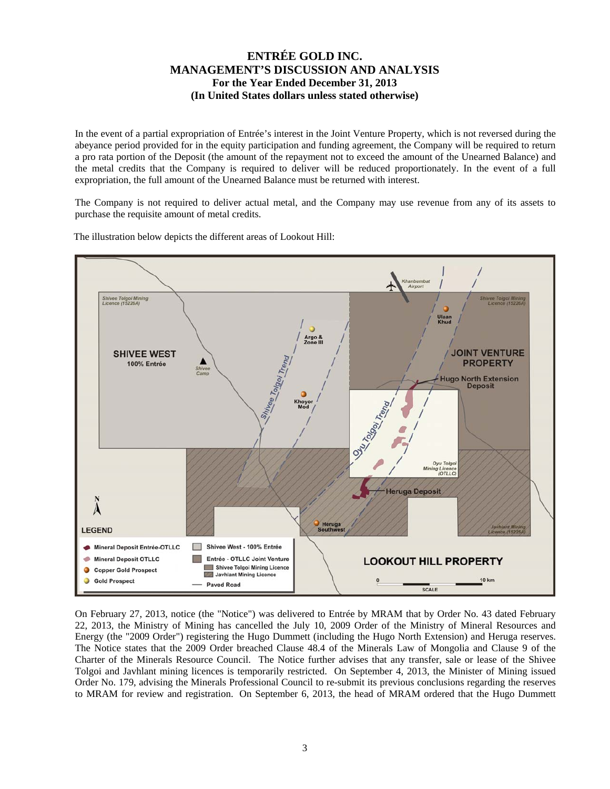In the event of a partial expropriation of Entrée's interest in the Joint Venture Property, which is not reversed during the abeyance period provided for in the equity participation and funding agreement, the Company will be required to return a pro rata portion of the Deposit (the amount of the repayment not to exceed the amount of the Unearned Balance) and the metal credits that the Company is required to deliver will be reduced proportionately. In the event of a full expropriation, the full amount of the Unearned Balance must be returned with interest.

The Company is not required to deliver actual metal, and the Company may use revenue from any of its assets to purchase the requisite amount of metal credits.



The illustration below depicts the different areas of Lookout Hill:

On February 27, 2013, notice (the "Notice") was delivered to Entrée by MRAM that by Order No. 43 dated February 22, 2013, the Ministry of Mining has cancelled the July 10, 2009 Order of the Ministry of Mineral Resources and Energy (the "2009 Order") registering the Hugo Dummett (including the Hugo North Extension) and Heruga reserves. The Notice states that the 2009 Order breached Clause 48.4 of the Minerals Law of Mongolia and Clause 9 of the Charter of the Minerals Resource Council. The Notice further advises that any transfer, sale or lease of the Shivee Tolgoi and Javhlant mining licences is temporarily restricted. On September 4, 2013, the Minister of Mining issued Order No. 179, advising the Minerals Professional Council to re-submit its previous conclusions regarding the reserves to MRAM for review and registration. On September 6, 2013, the head of MRAM ordered that the Hugo Dummett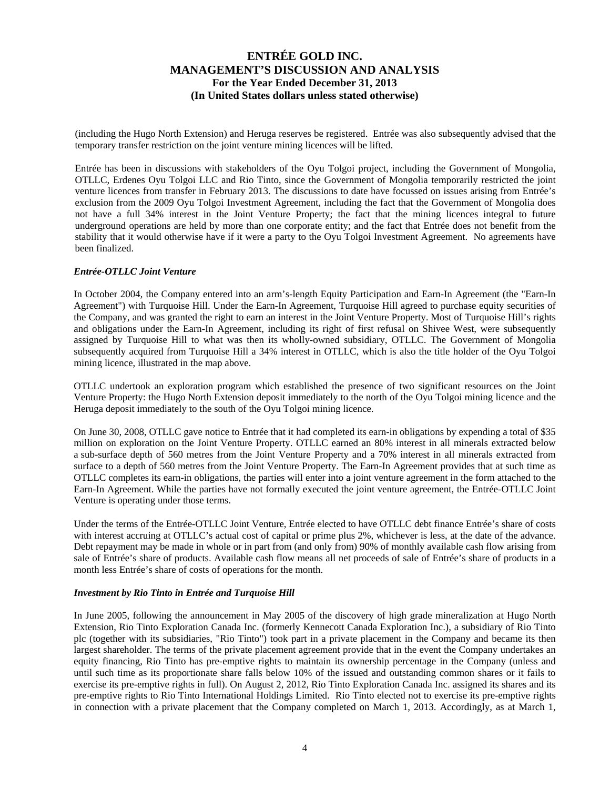(including the Hugo North Extension) and Heruga reserves be registered. Entrée was also subsequently advised that the temporary transfer restriction on the joint venture mining licences will be lifted.

Entrée has been in discussions with stakeholders of the Oyu Tolgoi project, including the Government of Mongolia, OTLLC, Erdenes Oyu Tolgoi LLC and Rio Tinto, since the Government of Mongolia temporarily restricted the joint venture licences from transfer in February 2013. The discussions to date have focussed on issues arising from Entrée's exclusion from the 2009 Oyu Tolgoi Investment Agreement, including the fact that the Government of Mongolia does not have a full 34% interest in the Joint Venture Property; the fact that the mining licences integral to future underground operations are held by more than one corporate entity; and the fact that Entrée does not benefit from the stability that it would otherwise have if it were a party to the Oyu Tolgoi Investment Agreement. No agreements have been finalized.

### *Entrée-OTLLC Joint Venture*

In October 2004, the Company entered into an arm's-length Equity Participation and Earn-In Agreement (the "Earn-In Agreement") with Turquoise Hill. Under the Earn-In Agreement, Turquoise Hill agreed to purchase equity securities of the Company, and was granted the right to earn an interest in the Joint Venture Property. Most of Turquoise Hill's rights and obligations under the Earn-In Agreement, including its right of first refusal on Shivee West, were subsequently assigned by Turquoise Hill to what was then its wholly-owned subsidiary, OTLLC. The Government of Mongolia subsequently acquired from Turquoise Hill a 34% interest in OTLLC, which is also the title holder of the Oyu Tolgoi mining licence, illustrated in the map above.

OTLLC undertook an exploration program which established the presence of two significant resources on the Joint Venture Property: the Hugo North Extension deposit immediately to the north of the Oyu Tolgoi mining licence and the Heruga deposit immediately to the south of the Oyu Tolgoi mining licence.

On June 30, 2008, OTLLC gave notice to Entrée that it had completed its earn-in obligations by expending a total of \$35 million on exploration on the Joint Venture Property. OTLLC earned an 80% interest in all minerals extracted below a sub-surface depth of 560 metres from the Joint Venture Property and a 70% interest in all minerals extracted from surface to a depth of 560 metres from the Joint Venture Property. The Earn-In Agreement provides that at such time as OTLLC completes its earn-in obligations, the parties will enter into a joint venture agreement in the form attached to the Earn-In Agreement. While the parties have not formally executed the joint venture agreement, the Entrée-OTLLC Joint Venture is operating under those terms.

Under the terms of the Entrée-OTLLC Joint Venture, Entrée elected to have OTLLC debt finance Entrée's share of costs with interest accruing at OTLLC's actual cost of capital or prime plus 2%, whichever is less, at the date of the advance. Debt repayment may be made in whole or in part from (and only from) 90% of monthly available cash flow arising from sale of Entrée's share of products. Available cash flow means all net proceeds of sale of Entrée's share of products in a month less Entrée's share of costs of operations for the month.

#### *Investment by Rio Tinto in Entrée and Turquoise Hill*

In June 2005, following the announcement in May 2005 of the discovery of high grade mineralization at Hugo North Extension, Rio Tinto Exploration Canada Inc. (formerly Kennecott Canada Exploration Inc.), a subsidiary of Rio Tinto plc (together with its subsidiaries, "Rio Tinto") took part in a private placement in the Company and became its then largest shareholder. The terms of the private placement agreement provide that in the event the Company undertakes an equity financing, Rio Tinto has pre-emptive rights to maintain its ownership percentage in the Company (unless and until such time as its proportionate share falls below 10% of the issued and outstanding common shares or it fails to exercise its pre-emptive rights in full). On August 2, 2012, Rio Tinto Exploration Canada Inc. assigned its shares and its pre-emptive rights to Rio Tinto International Holdings Limited. Rio Tinto elected not to exercise its pre-emptive rights in connection with a private placement that the Company completed on March 1, 2013. Accordingly, as at March 1,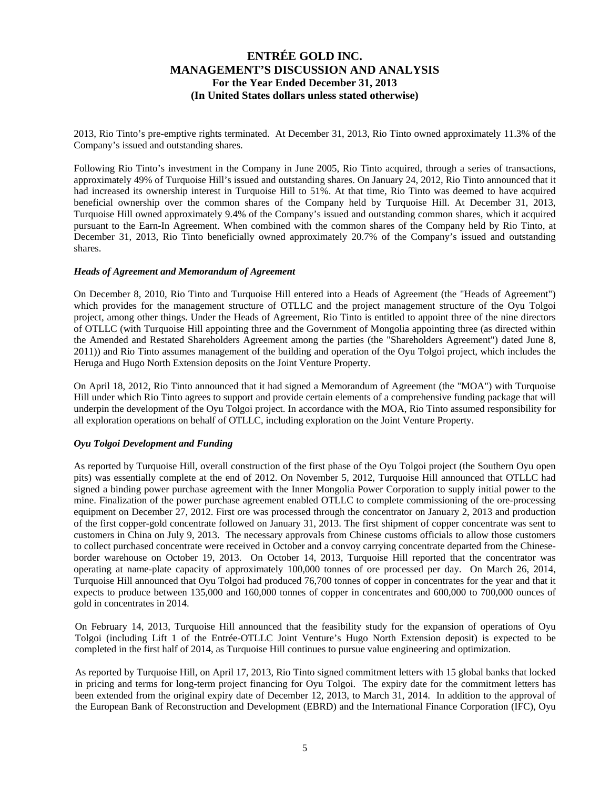2013, Rio Tinto's pre-emptive rights terminated. At December 31, 2013, Rio Tinto owned approximately 11.3% of the Company's issued and outstanding shares.

Following Rio Tinto's investment in the Company in June 2005, Rio Tinto acquired, through a series of transactions, approximately 49% of Turquoise Hill's issued and outstanding shares. On January 24, 2012, Rio Tinto announced that it had increased its ownership interest in Turquoise Hill to 51%. At that time, Rio Tinto was deemed to have acquired beneficial ownership over the common shares of the Company held by Turquoise Hill. At December 31, 2013, Turquoise Hill owned approximately 9.4% of the Company's issued and outstanding common shares, which it acquired pursuant to the Earn-In Agreement. When combined with the common shares of the Company held by Rio Tinto, at December 31, 2013, Rio Tinto beneficially owned approximately 20.7% of the Company's issued and outstanding shares.

#### *Heads of Agreement and Memorandum of Agreement*

On December 8, 2010, Rio Tinto and Turquoise Hill entered into a Heads of Agreement (the "Heads of Agreement") which provides for the management structure of OTLLC and the project management structure of the Oyu Tolgoi project, among other things. Under the Heads of Agreement, Rio Tinto is entitled to appoint three of the nine directors of OTLLC (with Turquoise Hill appointing three and the Government of Mongolia appointing three (as directed within the Amended and Restated Shareholders Agreement among the parties (the "Shareholders Agreement") dated June 8, 2011)) and Rio Tinto assumes management of the building and operation of the Oyu Tolgoi project, which includes the Heruga and Hugo North Extension deposits on the Joint Venture Property.

On April 18, 2012, Rio Tinto announced that it had signed a Memorandum of Agreement (the "MOA") with Turquoise Hill under which Rio Tinto agrees to support and provide certain elements of a comprehensive funding package that will underpin the development of the Oyu Tolgoi project. In accordance with the MOA, Rio Tinto assumed responsibility for all exploration operations on behalf of OTLLC, including exploration on the Joint Venture Property.

### *Oyu Tolgoi Development and Funding*

As reported by Turquoise Hill, overall construction of the first phase of the Oyu Tolgoi project (the Southern Oyu open pits) was essentially complete at the end of 2012. On November 5, 2012, Turquoise Hill announced that OTLLC had signed a binding power purchase agreement with the Inner Mongolia Power Corporation to supply initial power to the mine. Finalization of the power purchase agreement enabled OTLLC to complete commissioning of the ore-processing equipment on December 27, 2012. First ore was processed through the concentrator on January 2, 2013 and production of the first copper-gold concentrate followed on January 31, 2013. The first shipment of copper concentrate was sent to customers in China on July 9, 2013. The necessary approvals from Chinese customs officials to allow those customers to collect purchased concentrate were received in October and a convoy carrying concentrate departed from the Chineseborder warehouse on October 19, 2013. On October 14, 2013, Turquoise Hill reported that the concentrator was operating at name-plate capacity of approximately 100,000 tonnes of ore processed per day. On March 26, 2014, Turquoise Hill announced that Oyu Tolgoi had produced 76,700 tonnes of copper in concentrates for the year and that it expects to produce between 135,000 and 160,000 tonnes of copper in concentrates and 600,000 to 700,000 ounces of gold in concentrates in 2014.

On February 14, 2013, Turquoise Hill announced that the feasibility study for the expansion of operations of Oyu Tolgoi (including Lift 1 of the Entrée-OTLLC Joint Venture's Hugo North Extension deposit) is expected to be completed in the first half of 2014, as Turquoise Hill continues to pursue value engineering and optimization.

As reported by Turquoise Hill, on April 17, 2013, Rio Tinto signed commitment letters with 15 global banks that locked in pricing and terms for long-term project financing for Oyu Tolgoi. The expiry date for the commitment letters has been extended from the original expiry date of December 12, 2013, to March 31, 2014. In addition to the approval of the European Bank of Reconstruction and Development (EBRD) and the International Finance Corporation (IFC), Oyu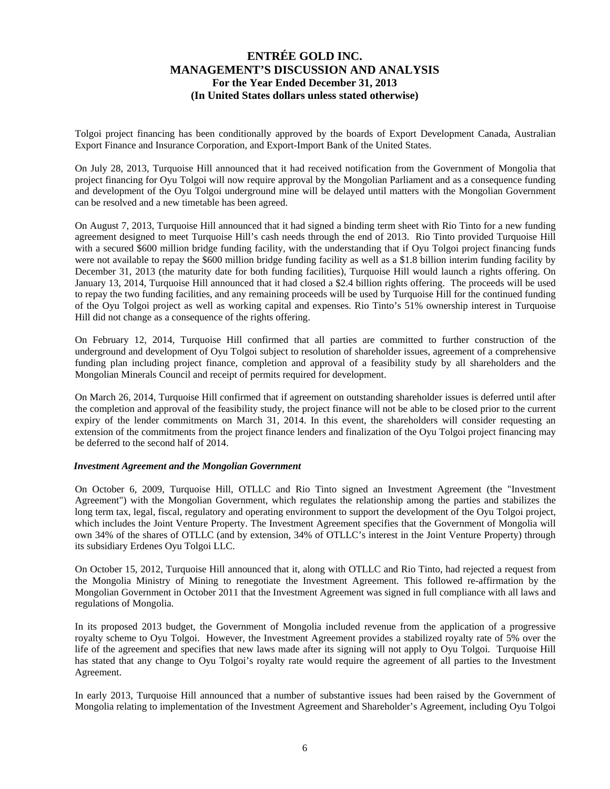Tolgoi project financing has been conditionally approved by the boards of Export Development Canada, Australian Export Finance and Insurance Corporation, and Export-Import Bank of the United States.

On July 28, 2013, Turquoise Hill announced that it had received notification from the Government of Mongolia that project financing for Oyu Tolgoi will now require approval by the Mongolian Parliament and as a consequence funding and development of the Oyu Tolgoi underground mine will be delayed until matters with the Mongolian Government can be resolved and a new timetable has been agreed.

On August 7, 2013, Turquoise Hill announced that it had signed a binding term sheet with Rio Tinto for a new funding agreement designed to meet Turquoise Hill's cash needs through the end of 2013. Rio Tinto provided Turquoise Hill with a secured \$600 million bridge funding facility, with the understanding that if Oyu Tolgoi project financing funds were not available to repay the \$600 million bridge funding facility as well as a \$1.8 billion interim funding facility by December 31, 2013 (the maturity date for both funding facilities), Turquoise Hill would launch a rights offering. On January 13, 2014, Turquoise Hill announced that it had closed a \$2.4 billion rights offering. The proceeds will be used to repay the two funding facilities, and any remaining proceeds will be used by Turquoise Hill for the continued funding of the Oyu Tolgoi project as well as working capital and expenses. Rio Tinto's 51% ownership interest in Turquoise Hill did not change as a consequence of the rights offering.

On February 12, 2014, Turquoise Hill confirmed that all parties are committed to further construction of the underground and development of Oyu Tolgoi subject to resolution of shareholder issues, agreement of a comprehensive funding plan including project finance, completion and approval of a feasibility study by all shareholders and the Mongolian Minerals Council and receipt of permits required for development.

On March 26, 2014, Turquoise Hill confirmed that if agreement on outstanding shareholder issues is deferred until after the completion and approval of the feasibility study, the project finance will not be able to be closed prior to the current expiry of the lender commitments on March 31, 2014. In this event, the shareholders will consider requesting an extension of the commitments from the project finance lenders and finalization of the Oyu Tolgoi project financing may be deferred to the second half of 2014.

### *Investment Agreement and the Mongolian Government*

On October 6, 2009, Turquoise Hill, OTLLC and Rio Tinto signed an Investment Agreement (the "Investment Agreement") with the Mongolian Government, which regulates the relationship among the parties and stabilizes the long term tax, legal, fiscal, regulatory and operating environment to support the development of the Oyu Tolgoi project, which includes the Joint Venture Property. The Investment Agreement specifies that the Government of Mongolia will own 34% of the shares of OTLLC (and by extension, 34% of OTLLC's interest in the Joint Venture Property) through its subsidiary Erdenes Oyu Tolgoi LLC.

On October 15, 2012, Turquoise Hill announced that it, along with OTLLC and Rio Tinto, had rejected a request from the Mongolia Ministry of Mining to renegotiate the Investment Agreement. This followed re-affirmation by the Mongolian Government in October 2011 that the Investment Agreement was signed in full compliance with all laws and regulations of Mongolia.

In its proposed 2013 budget, the Government of Mongolia included revenue from the application of a progressive royalty scheme to Oyu Tolgoi. However, the Investment Agreement provides a stabilized royalty rate of 5% over the life of the agreement and specifies that new laws made after its signing will not apply to Oyu Tolgoi. Turquoise Hill has stated that any change to Oyu Tolgoi's royalty rate would require the agreement of all parties to the Investment Agreement.

In early 2013, Turquoise Hill announced that a number of substantive issues had been raised by the Government of Mongolia relating to implementation of the Investment Agreement and Shareholder's Agreement, including Oyu Tolgoi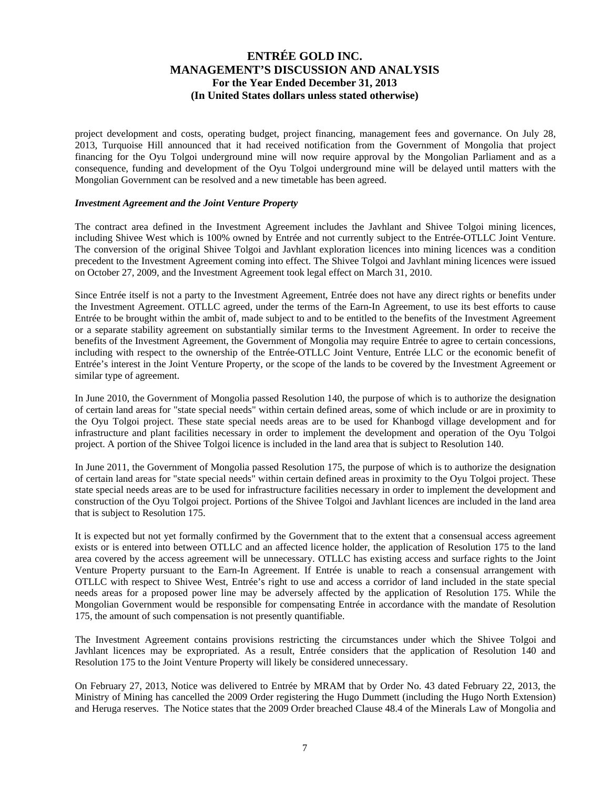project development and costs, operating budget, project financing, management fees and governance. On July 28, 2013, Turquoise Hill announced that it had received notification from the Government of Mongolia that project financing for the Oyu Tolgoi underground mine will now require approval by the Mongolian Parliament and as a consequence, funding and development of the Oyu Tolgoi underground mine will be delayed until matters with the Mongolian Government can be resolved and a new timetable has been agreed.

#### *Investment Agreement and the Joint Venture Property*

The contract area defined in the Investment Agreement includes the Javhlant and Shivee Tolgoi mining licences, including Shivee West which is 100% owned by Entrée and not currently subject to the Entrée-OTLLC Joint Venture. The conversion of the original Shivee Tolgoi and Javhlant exploration licences into mining licences was a condition precedent to the Investment Agreement coming into effect. The Shivee Tolgoi and Javhlant mining licences were issued on October 27, 2009, and the Investment Agreement took legal effect on March 31, 2010.

Since Entrée itself is not a party to the Investment Agreement, Entrée does not have any direct rights or benefits under the Investment Agreement. OTLLC agreed, under the terms of the Earn-In Agreement, to use its best efforts to cause Entrée to be brought within the ambit of, made subject to and to be entitled to the benefits of the Investment Agreement or a separate stability agreement on substantially similar terms to the Investment Agreement. In order to receive the benefits of the Investment Agreement, the Government of Mongolia may require Entrée to agree to certain concessions, including with respect to the ownership of the Entrée-OTLLC Joint Venture, Entrée LLC or the economic benefit of Entrée's interest in the Joint Venture Property, or the scope of the lands to be covered by the Investment Agreement or similar type of agreement.

In June 2010, the Government of Mongolia passed Resolution 140, the purpose of which is to authorize the designation of certain land areas for "state special needs" within certain defined areas, some of which include or are in proximity to the Oyu Tolgoi project. These state special needs areas are to be used for Khanbogd village development and for infrastructure and plant facilities necessary in order to implement the development and operation of the Oyu Tolgoi project. A portion of the Shivee Tolgoi licence is included in the land area that is subject to Resolution 140.

In June 2011, the Government of Mongolia passed Resolution 175, the purpose of which is to authorize the designation of certain land areas for "state special needs" within certain defined areas in proximity to the Oyu Tolgoi project. These state special needs areas are to be used for infrastructure facilities necessary in order to implement the development and construction of the Oyu Tolgoi project. Portions of the Shivee Tolgoi and Javhlant licences are included in the land area that is subject to Resolution 175.

It is expected but not yet formally confirmed by the Government that to the extent that a consensual access agreement exists or is entered into between OTLLC and an affected licence holder, the application of Resolution 175 to the land area covered by the access agreement will be unnecessary. OTLLC has existing access and surface rights to the Joint Venture Property pursuant to the Earn-In Agreement. If Entrée is unable to reach a consensual arrangement with OTLLC with respect to Shivee West, Entrée's right to use and access a corridor of land included in the state special needs areas for a proposed power line may be adversely affected by the application of Resolution 175. While the Mongolian Government would be responsible for compensating Entrée in accordance with the mandate of Resolution 175, the amount of such compensation is not presently quantifiable.

The Investment Agreement contains provisions restricting the circumstances under which the Shivee Tolgoi and Javhlant licences may be expropriated. As a result, Entrée considers that the application of Resolution 140 and Resolution 175 to the Joint Venture Property will likely be considered unnecessary.

On February 27, 2013, Notice was delivered to Entrée by MRAM that by Order No. 43 dated February 22, 2013, the Ministry of Mining has cancelled the 2009 Order registering the Hugo Dummett (including the Hugo North Extension) and Heruga reserves. The Notice states that the 2009 Order breached Clause 48.4 of the Minerals Law of Mongolia and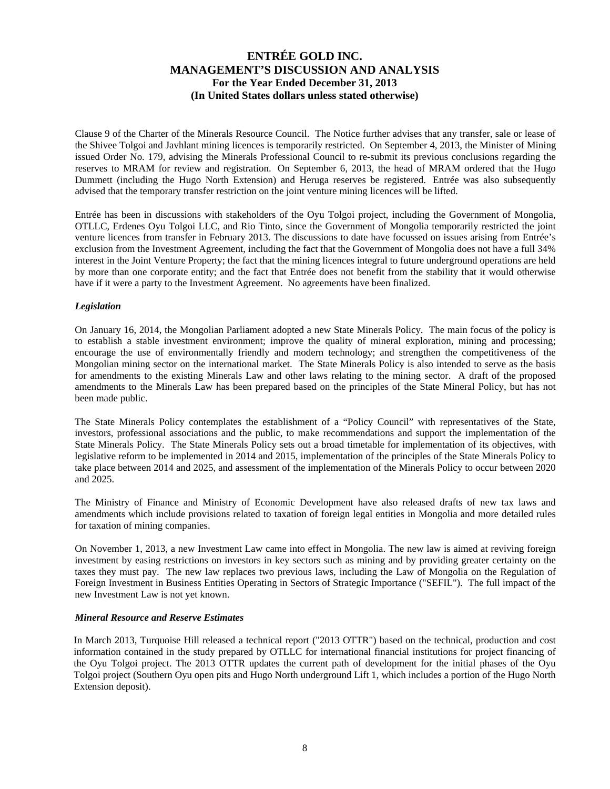Clause 9 of the Charter of the Minerals Resource Council. The Notice further advises that any transfer, sale or lease of the Shivee Tolgoi and Javhlant mining licences is temporarily restricted. On September 4, 2013, the Minister of Mining issued Order No. 179, advising the Minerals Professional Council to re-submit its previous conclusions regarding the reserves to MRAM for review and registration. On September 6, 2013, the head of MRAM ordered that the Hugo Dummett (including the Hugo North Extension) and Heruga reserves be registered. Entrée was also subsequently advised that the temporary transfer restriction on the joint venture mining licences will be lifted.

Entrée has been in discussions with stakeholders of the Oyu Tolgoi project, including the Government of Mongolia, OTLLC, Erdenes Oyu Tolgoi LLC, and Rio Tinto, since the Government of Mongolia temporarily restricted the joint venture licences from transfer in February 2013. The discussions to date have focussed on issues arising from Entrée's exclusion from the Investment Agreement, including the fact that the Government of Mongolia does not have a full 34% interest in the Joint Venture Property; the fact that the mining licences integral to future underground operations are held by more than one corporate entity; and the fact that Entrée does not benefit from the stability that it would otherwise have if it were a party to the Investment Agreement. No agreements have been finalized.

### *Legislation*

On January 16, 2014, the Mongolian Parliament adopted a new State Minerals Policy. The main focus of the policy is to establish a stable investment environment; improve the quality of mineral exploration, mining and processing; encourage the use of environmentally friendly and modern technology; and strengthen the competitiveness of the Mongolian mining sector on the international market. The State Minerals Policy is also intended to serve as the basis for amendments to the existing Minerals Law and other laws relating to the mining sector. A draft of the proposed amendments to the Minerals Law has been prepared based on the principles of the State Mineral Policy, but has not been made public.

The State Minerals Policy contemplates the establishment of a "Policy Council" with representatives of the State, investors, professional associations and the public, to make recommendations and support the implementation of the State Minerals Policy. The State Minerals Policy sets out a broad timetable for implementation of its objectives, with legislative reform to be implemented in 2014 and 2015, implementation of the principles of the State Minerals Policy to take place between 2014 and 2025, and assessment of the implementation of the Minerals Policy to occur between 2020 and 2025.

The Ministry of Finance and Ministry of Economic Development have also released drafts of new tax laws and amendments which include provisions related to taxation of foreign legal entities in Mongolia and more detailed rules for taxation of mining companies.

On November 1, 2013, a new Investment Law came into effect in Mongolia. The new law is aimed at reviving foreign investment by easing restrictions on investors in key sectors such as mining and by providing greater certainty on the taxes they must pay. The new law replaces two previous laws, including the Law of Mongolia on the Regulation of Foreign Investment in Business Entities Operating in Sectors of Strategic Importance ("SEFIL"). The full impact of the new Investment Law is not yet known.

#### *Mineral Resource and Reserve Estimates*

In March 2013, Turquoise Hill released a technical report ("2013 OTTR") based on the technical, production and cost information contained in the study prepared by OTLLC for international financial institutions for project financing of the Oyu Tolgoi project. The 2013 OTTR updates the current path of development for the initial phases of the Oyu Tolgoi project (Southern Oyu open pits and Hugo North underground Lift 1, which includes a portion of the Hugo North Extension deposit).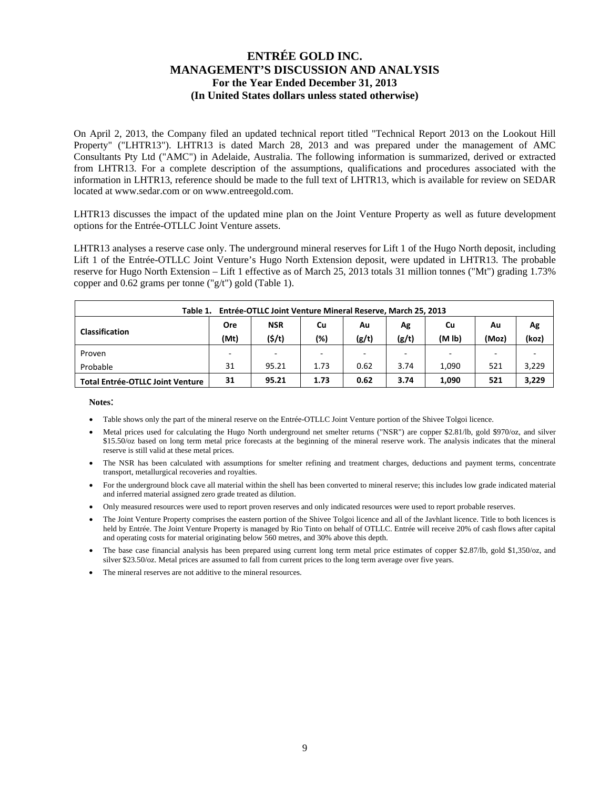On April 2, 2013, the Company filed an updated technical report titled "Technical Report 2013 on the Lookout Hill Property" ("LHTR13"). LHTR13 is dated March 28, 2013 and was prepared under the management of AMC Consultants Pty Ltd ("AMC") in Adelaide, Australia. The following information is summarized, derived or extracted from LHTR13. For a complete description of the assumptions, qualifications and procedures associated with the information in LHTR13, reference should be made to the full text of LHTR13, which is available for review on SEDAR located at www.sedar.com or on www.entreegold.com.

LHTR13 discusses the impact of the updated mine plan on the Joint Venture Property as well as future development options for the Entrée-OTLLC Joint Venture assets.

LHTR13 analyses a reserve case only. The underground mineral reserves for Lift 1 of the Hugo North deposit, including Lift 1 of the Entrée-OTLLC Joint Venture's Hugo North Extension deposit, were updated in LHTR13. The probable reserve for Hugo North Extension – Lift 1 effective as of March 25, 2013 totals 31 million tonnes ("Mt") grading 1.73% copper and 0.62 grams per tonne ("g/t") gold (Table 1).

| Entrée-OTLLC Joint Venture Mineral Reserve, March 25, 2013<br>Table 1.                                  |            |            |        |       |       |                          |       |       |  |  |
|---------------------------------------------------------------------------------------------------------|------------|------------|--------|-------|-------|--------------------------|-------|-------|--|--|
| <b>Classification</b>                                                                                   | <b>Ore</b> | <b>NSR</b> | Cu     | Au    | Ag    | Cu                       | Ag    |       |  |  |
|                                                                                                         | (Mt)       | (5/t)      | $(\%)$ | (g/t) | (g/t) | (M <sub>1b</sub> )       | (Moz) | (koz) |  |  |
| Proven                                                                                                  | -          | -          | -      | -     |       | $\overline{\phantom{a}}$ |       |       |  |  |
| Probable                                                                                                | 31         | 95.21      | 1.73   | 0.62  | 3.74  | 1.090                    | 521   | 3,229 |  |  |
| 3,229<br>3.74<br>95.21<br>0.62<br>521<br>1,090<br>31<br>1.73<br><b>Total Entrée-OTLLC Joint Venture</b> |            |            |        |       |       |                          |       |       |  |  |

**Notes**:

- Table shows only the part of the mineral reserve on the Entrée-OTLLC Joint Venture portion of the Shivee Tolgoi licence.
- Metal prices used for calculating the Hugo North underground net smelter returns ("NSR") are copper \$2.81/lb, gold \$970/oz, and silver \$15.50/oz based on long term metal price forecasts at the beginning of the mineral reserve work. The analysis indicates that the mineral reserve is still valid at these metal prices.
- The NSR has been calculated with assumptions for smelter refining and treatment charges, deductions and payment terms, concentrate transport, metallurgical recoveries and royalties.
- For the underground block cave all material within the shell has been converted to mineral reserve; this includes low grade indicated material and inferred material assigned zero grade treated as dilution.
- Only measured resources were used to report proven reserves and only indicated resources were used to report probable reserves.
- The Joint Venture Property comprises the eastern portion of the Shivee Tolgoi licence and all of the Javhlant licence. Title to both licences is held by Entrée. The Joint Venture Property is managed by Rio Tinto on behalf of OTLLC. Entrée will receive 20% of cash flows after capital and operating costs for material originating below 560 metres, and 30% above this depth.
- The base case financial analysis has been prepared using current long term metal price estimates of copper \$2.87/lb, gold \$1,350/oz, and silver \$23.50/oz. Metal prices are assumed to fall from current prices to the long term average over five years.
- The mineral reserves are not additive to the mineral resources.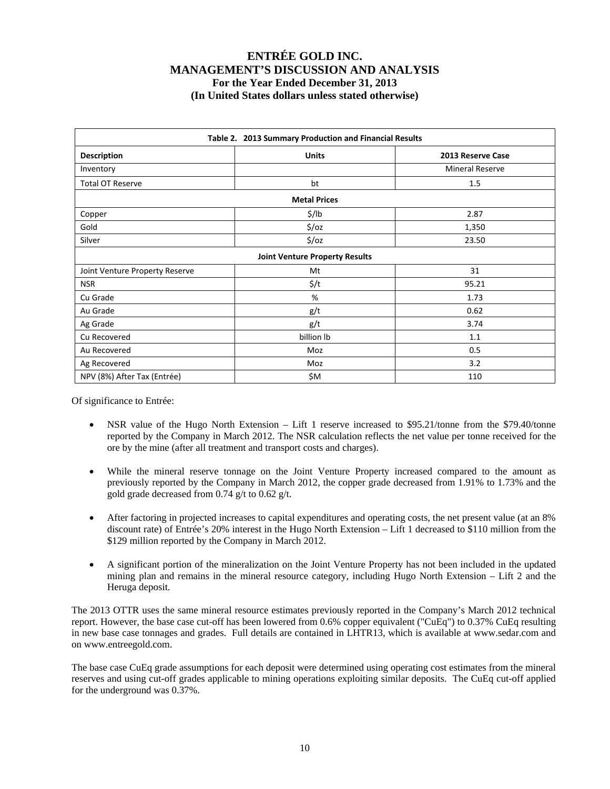| Table 2. 2013 Summary Production and Financial Results |                                       |                        |  |  |  |  |  |  |  |  |
|--------------------------------------------------------|---------------------------------------|------------------------|--|--|--|--|--|--|--|--|
| <b>Description</b>                                     | <b>Units</b>                          | 2013 Reserve Case      |  |  |  |  |  |  |  |  |
| Inventory                                              |                                       | <b>Mineral Reserve</b> |  |  |  |  |  |  |  |  |
| <b>Total OT Reserve</b>                                | bt                                    | 1.5                    |  |  |  |  |  |  |  |  |
| <b>Metal Prices</b>                                    |                                       |                        |  |  |  |  |  |  |  |  |
| Copper                                                 | \$/lb                                 | 2.87                   |  |  |  |  |  |  |  |  |
| Gold                                                   | $\frac{1}{2}$ /0Z                     | 1,350                  |  |  |  |  |  |  |  |  |
| Silver                                                 | $\frac{1}{2}$ /0Z                     | 23.50                  |  |  |  |  |  |  |  |  |
|                                                        | <b>Joint Venture Property Results</b> |                        |  |  |  |  |  |  |  |  |
| Joint Venture Property Reserve                         | Mt                                    | 31                     |  |  |  |  |  |  |  |  |
| <b>NSR</b>                                             | $\frac{1}{2}$                         | 95.21                  |  |  |  |  |  |  |  |  |
| Cu Grade                                               | %                                     | 1.73                   |  |  |  |  |  |  |  |  |
| Au Grade                                               | g/t                                   | 0.62                   |  |  |  |  |  |  |  |  |
| Ag Grade                                               | g/t                                   | 3.74                   |  |  |  |  |  |  |  |  |
| Cu Recovered                                           | billion lb                            | 1.1                    |  |  |  |  |  |  |  |  |
| Au Recovered                                           | Moz                                   | 0.5                    |  |  |  |  |  |  |  |  |
| Ag Recovered                                           | Moz                                   | 3.2                    |  |  |  |  |  |  |  |  |
| NPV (8%) After Tax (Entrée)                            | \$M                                   | 110                    |  |  |  |  |  |  |  |  |

Of significance to Entrée:

- NSR value of the Hugo North Extension Lift 1 reserve increased to \$95.21/tonne from the \$79.40/tonne reported by the Company in March 2012. The NSR calculation reflects the net value per tonne received for the ore by the mine (after all treatment and transport costs and charges).
- While the mineral reserve tonnage on the Joint Venture Property increased compared to the amount as previously reported by the Company in March 2012, the copper grade decreased from 1.91% to 1.73% and the gold grade decreased from 0.74 g/t to 0.62 g/t.
- After factoring in projected increases to capital expenditures and operating costs, the net present value (at an 8% discount rate) of Entrée's 20% interest in the Hugo North Extension – Lift 1 decreased to \$110 million from the \$129 million reported by the Company in March 2012.
- A significant portion of the mineralization on the Joint Venture Property has not been included in the updated mining plan and remains in the mineral resource category, including Hugo North Extension – Lift 2 and the Heruga deposit.

The 2013 OTTR uses the same mineral resource estimates previously reported in the Company's March 2012 technical report. However, the base case cut-off has been lowered from 0.6% copper equivalent ("CuEq") to 0.37% CuEq resulting in new base case tonnages and grades. Full details are contained in LHTR13, which is available at www.sedar.com and on www.entreegold.com.

The base case CuEq grade assumptions for each deposit were determined using operating cost estimates from the mineral reserves and using cut-off grades applicable to mining operations exploiting similar deposits. The CuEq cut-off applied for the underground was 0.37%.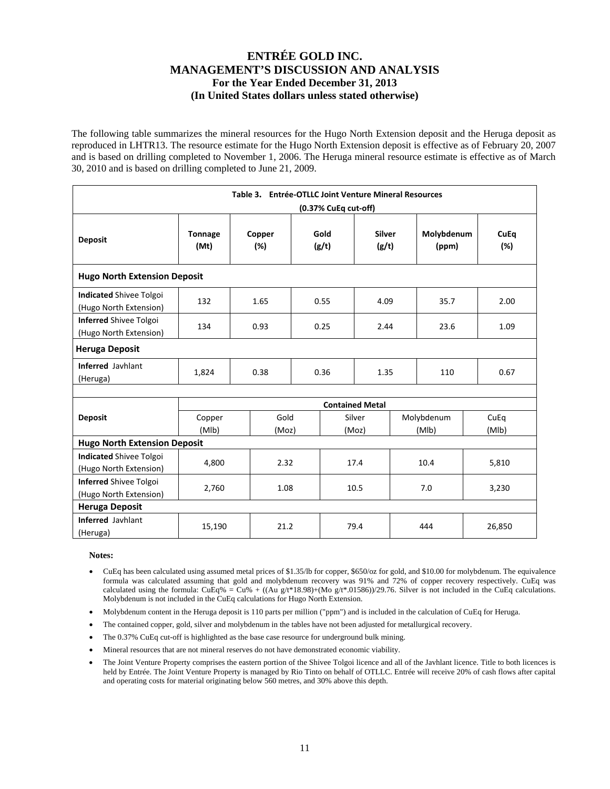The following table summarizes the mineral resources for the Hugo North Extension deposit and the Heruga deposit as reproduced in LHTR13. The resource estimate for the Hugo North Extension deposit is effective as of February 20, 2007 and is based on drilling completed to November 1, 2006. The Heruga mineral resource estimate is effective as of March 30, 2010 and is based on drilling completed to June 21, 2009.

| Table 3. Entrée-OTLLC Joint Venture Mineral Resources<br>(0.37% CuEq cut-off) |                        |               |      |                                  |                        |                     |            |                    |        |  |  |
|-------------------------------------------------------------------------------|------------------------|---------------|------|----------------------------------|------------------------|---------------------|------------|--------------------|--------|--|--|
| <b>Deposit</b>                                                                | <b>Tonnage</b><br>(Mt) | Copper<br>(%) |      | Silver<br>Gold<br>(g/t)<br>(g/t) |                        | Molybdenum<br>(ppm) |            | <b>CuEq</b><br>(%) |        |  |  |
| <b>Hugo North Extension Deposit</b>                                           |                        |               |      |                                  |                        |                     |            |                    |        |  |  |
| <b>Indicated Shivee Tolgoi</b><br>(Hugo North Extension)                      | 132                    | 1.65          |      | 0.55                             | 4.09                   |                     | 35.7       |                    | 2.00   |  |  |
| <b>Inferred Shivee Tolgoi</b><br>(Hugo North Extension)                       | 134                    | 0.93          |      | 0.25<br>2.44                     |                        |                     | 23.6       |                    | 1.09   |  |  |
| <b>Heruga Deposit</b>                                                         |                        |               |      |                                  |                        |                     |            |                    |        |  |  |
| <b>Inferred Javhlant</b><br>(Heruga)                                          | 1,824                  | 0.38          | 0.36 |                                  | 1.35                   |                     | 110        |                    | 0.67   |  |  |
|                                                                               |                        |               |      |                                  |                        |                     |            |                    |        |  |  |
|                                                                               |                        |               |      |                                  | <b>Contained Metal</b> |                     |            |                    |        |  |  |
| <b>Deposit</b>                                                                | Copper<br>(MIb)        | Gold          |      |                                  | Silver                 |                     | Molybdenum |                    | CuEq   |  |  |
| <b>Hugo North Extension Deposit</b>                                           |                        | (Moz)         |      |                                  | (Moz)                  |                     | (MIb)      |                    | (MIb)  |  |  |
| <b>Indicated Shivee Tolgoi</b><br>(Hugo North Extension)                      | 4,800                  | 2.32          |      |                                  | 17.4                   |                     | 10.4       |                    | 5,810  |  |  |
| <b>Inferred Shivee Tolgoi</b><br>(Hugo North Extension)                       | 2,760                  | 1.08          |      |                                  | 10.5                   |                     | 7.0        |                    | 3,230  |  |  |
| <b>Heruga Deposit</b>                                                         |                        |               |      |                                  |                        |                     |            |                    |        |  |  |
| <b>Inferred Javhlant</b><br>(Heruga)                                          | 15,190                 | 21.2          |      |                                  | 79.4                   |                     | 444        |                    | 26,850 |  |  |

#### **Notes:**

- CuEq has been calculated using assumed metal prices of \$1.35/lb for copper, \$650/oz for gold, and \$10.00 for molybdenum. The equivalence formula was calculated assuming that gold and molybdenum recovery was 91% and 72% of copper recovery respectively. CuEq was calculated using the formula: CuEq% = Cu% + ((Au g/t\*18.98)+(Mo g/t\*.01586))/29.76. Silver is not included in the CuEq calculations. Molybdenum is not included in the CuEq calculations for Hugo North Extension.
- Molybdenum content in the Heruga deposit is 110 parts per million ("ppm") and is included in the calculation of CuEq for Heruga.
- The contained copper, gold, silver and molybdenum in the tables have not been adjusted for metallurgical recovery.
- The 0.37% CuEq cut-off is highlighted as the base case resource for underground bulk mining.
- Mineral resources that are not mineral reserves do not have demonstrated economic viability.
- The Joint Venture Property comprises the eastern portion of the Shivee Tolgoi licence and all of the Javhlant licence. Title to both licences is held by Entrée. The Joint Venture Property is managed by Rio Tinto on behalf of OTLLC. Entrée will receive 20% of cash flows after capital and operating costs for material originating below 560 metres, and 30% above this depth.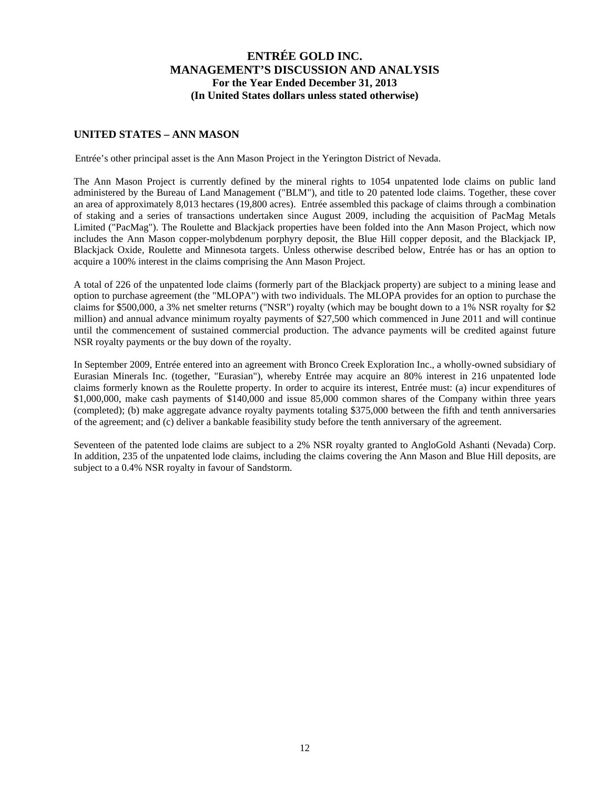### **UNITED STATES – ANN MASON**

Entrée's other principal asset is the Ann Mason Project in the Yerington District of Nevada.

The Ann Mason Project is currently defined by the mineral rights to 1054 unpatented lode claims on public land administered by the Bureau of Land Management ("BLM"), and title to 20 patented lode claims. Together, these cover an area of approximately 8,013 hectares (19,800 acres). Entrée assembled this package of claims through a combination of staking and a series of transactions undertaken since August 2009, including the acquisition of PacMag Metals Limited ("PacMag"). The Roulette and Blackjack properties have been folded into the Ann Mason Project, which now includes the Ann Mason copper-molybdenum porphyry deposit, the Blue Hill copper deposit, and the Blackjack IP, Blackjack Oxide, Roulette and Minnesota targets. Unless otherwise described below, Entrée has or has an option to acquire a 100% interest in the claims comprising the Ann Mason Project.

A total of 226 of the unpatented lode claims (formerly part of the Blackjack property) are subject to a mining lease and option to purchase agreement (the "MLOPA") with two individuals. The MLOPA provides for an option to purchase the claims for \$500,000, a 3% net smelter returns ("NSR") royalty (which may be bought down to a 1% NSR royalty for \$2 million) and annual advance minimum royalty payments of \$27,500 which commenced in June 2011 and will continue until the commencement of sustained commercial production. The advance payments will be credited against future NSR royalty payments or the buy down of the royalty.

In September 2009, Entrée entered into an agreement with Bronco Creek Exploration Inc., a wholly-owned subsidiary of Eurasian Minerals Inc. (together, "Eurasian"), whereby Entrée may acquire an 80% interest in 216 unpatented lode claims formerly known as the Roulette property. In order to acquire its interest, Entrée must: (a) incur expenditures of \$1,000,000, make cash payments of \$140,000 and issue 85,000 common shares of the Company within three years (completed); (b) make aggregate advance royalty payments totaling \$375,000 between the fifth and tenth anniversaries of the agreement; and (c) deliver a bankable feasibility study before the tenth anniversary of the agreement.

Seventeen of the patented lode claims are subject to a 2% NSR royalty granted to AngloGold Ashanti (Nevada) Corp. In addition, 235 of the unpatented lode claims, including the claims covering the Ann Mason and Blue Hill deposits, are subject to a 0.4% NSR royalty in favour of Sandstorm.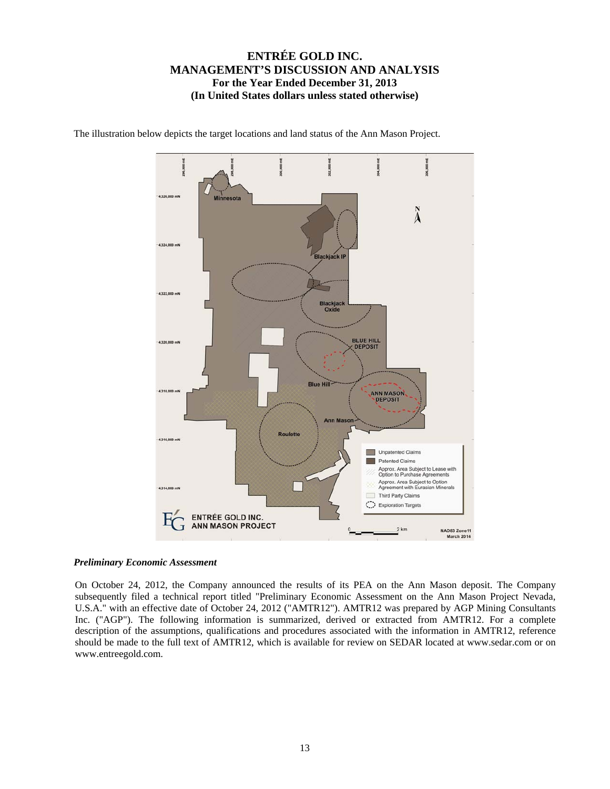

The illustration below depicts the target locations and land status of the Ann Mason Project.

#### *Preliminary Economic Assessment*

On October 24, 2012, the Company announced the results of its PEA on the Ann Mason deposit. The Company subsequently filed a technical report titled "Preliminary Economic Assessment on the Ann Mason Project Nevada, U.S.A." with an effective date of October 24, 2012 ("AMTR12"). AMTR12 was prepared by AGP Mining Consultants Inc. ("AGP"). The following information is summarized, derived or extracted from AMTR12. For a complete description of the assumptions, qualifications and procedures associated with the information in AMTR12, reference should be made to the full text of AMTR12, which is available for review on SEDAR located at www.sedar.com or on www.entreegold.com.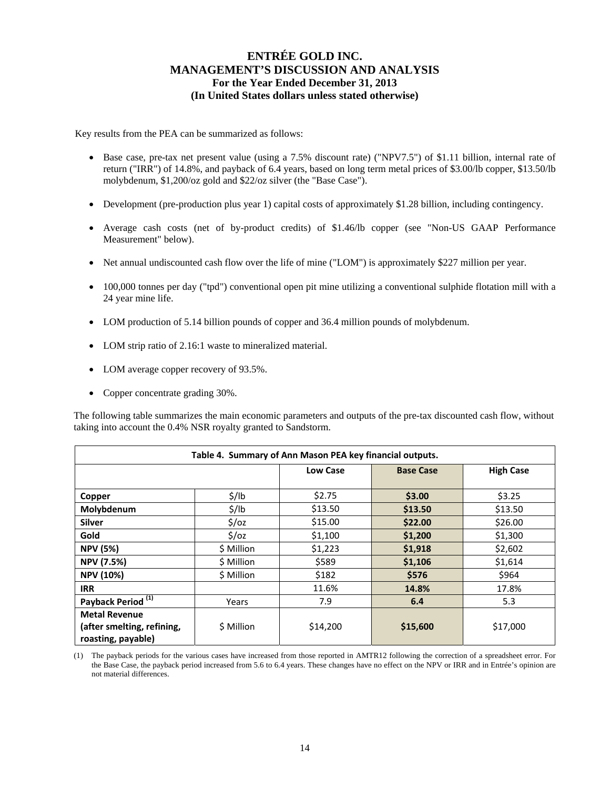Key results from the PEA can be summarized as follows:

- Base case, pre-tax net present value (using a 7.5% discount rate) ("NPV7.5") of \$1.11 billion, internal rate of return ("IRR") of 14.8%, and payback of 6.4 years, based on long term metal prices of \$3.00/lb copper, \$13.50/lb molybdenum, \$1,200/oz gold and \$22/oz silver (the "Base Case").
- Development (pre-production plus year 1) capital costs of approximately \$1.28 billion, including contingency.
- Average cash costs (net of by-product credits) of \$1.46/lb copper (see "Non-US GAAP Performance Measurement" below).
- Net annual undiscounted cash flow over the life of mine ("LOM") is approximately \$227 million per year.
- 100,000 tonnes per day ("tpd") conventional open pit mine utilizing a conventional sulphide flotation mill with a 24 year mine life.
- LOM production of 5.14 billion pounds of copper and 36.4 million pounds of molybdenum.
- LOM strip ratio of 2.16:1 waste to mineralized material.
- LOM average copper recovery of 93.5%.
- Copper concentrate grading 30%.

The following table summarizes the main economic parameters and outputs of the pre-tax discounted cash flow, without taking into account the 0.4% NSR royalty granted to Sandstorm.

| Table 4. Summary of Ann Mason PEA key financial outputs.                 |                   |                 |                  |                  |  |  |  |  |  |  |
|--------------------------------------------------------------------------|-------------------|-----------------|------------------|------------------|--|--|--|--|--|--|
|                                                                          |                   | <b>Low Case</b> | <b>Base Case</b> | <b>High Case</b> |  |  |  |  |  |  |
| Copper                                                                   | $\frac{1}{2}$ /lb | \$2.75          | \$3.00           | \$3.25           |  |  |  |  |  |  |
| Molybdenum                                                               | $\frac{1}{2}$ /lb | \$13.50         | \$13.50          | \$13.50          |  |  |  |  |  |  |
| <b>Silver</b>                                                            | $\frac{2}{3}$ /0Z | \$15.00         | \$22.00          | \$26.00          |  |  |  |  |  |  |
| Gold                                                                     | $\frac{2}{3}$ /0z | \$1,100         | \$1,200          | \$1,300          |  |  |  |  |  |  |
| <b>NPV (5%)</b>                                                          | \$ Million        | \$1,223         | \$1,918          | \$2,602          |  |  |  |  |  |  |
| <b>NPV (7.5%)</b>                                                        | \$ Million        | \$589           | \$1,106          | \$1,614          |  |  |  |  |  |  |
| <b>NPV (10%)</b>                                                         | \$ Million        | \$182           | \$576            | \$964            |  |  |  |  |  |  |
| <b>IRR</b>                                                               |                   | 11.6%           | 14.8%            | 17.8%            |  |  |  |  |  |  |
| Payback Period <sup>(1)</sup>                                            | Years             | 7.9             | 6.4              | 5.3              |  |  |  |  |  |  |
| <b>Metal Revenue</b><br>(after smelting, refining,<br>roasting, payable) | \$ Million        | \$14,200        | \$15,600         | \$17,000         |  |  |  |  |  |  |

(1) The payback periods for the various cases have increased from those reported in AMTR12 following the correction of a spreadsheet error. For the Base Case, the payback period increased from 5.6 to 6.4 years. These changes have no effect on the NPV or IRR and in Entrée's opinion are not material differences.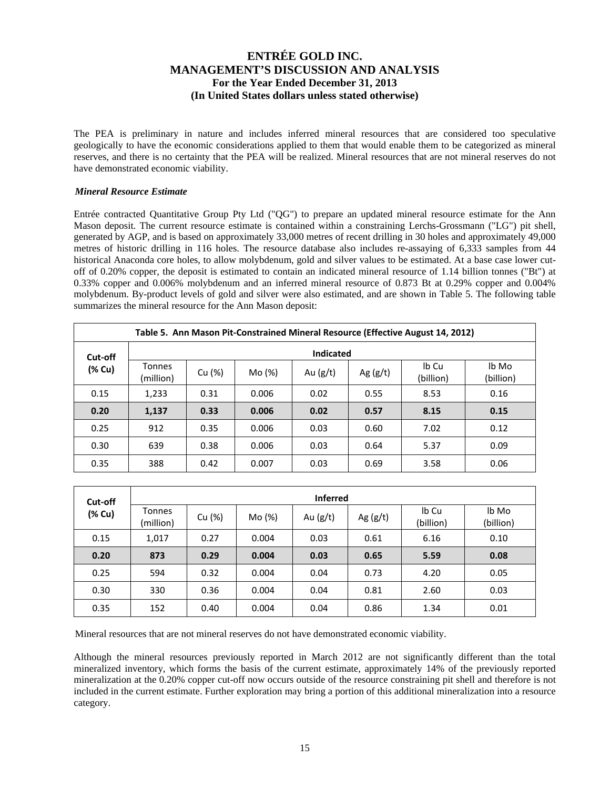The PEA is preliminary in nature and includes inferred mineral resources that are considered too speculative geologically to have the economic considerations applied to them that would enable them to be categorized as mineral reserves, and there is no certainty that the PEA will be realized. Mineral resources that are not mineral reserves do not have demonstrated economic viability.

### *Mineral Resource Estimate*

Entrée contracted Quantitative Group Pty Ltd ("QG") to prepare an updated mineral resource estimate for the Ann Mason deposit. The current resource estimate is contained within a constraining Lerchs-Grossmann ("LG") pit shell, generated by AGP, and is based on approximately 33,000 metres of recent drilling in 30 holes and approximately 49,000 metres of historic drilling in 116 holes. The resource database also includes re-assaying of 6,333 samples from 44 historical Anaconda core holes, to allow molybdenum, gold and silver values to be estimated. At a base case lower cutoff of 0.20% copper, the deposit is estimated to contain an indicated mineral resource of 1.14 billion tonnes ("Bt") at 0.33% copper and 0.006% molybdenum and an inferred mineral resource of 0.873 Bt at 0.29% copper and 0.004% molybdenum. By-product levels of gold and silver were also estimated, and are shown in Table 5. The following table summarizes the mineral resource for the Ann Mason deposit:

|         | Table 5. Ann Mason Pit-Constrained Mineral Resource (Effective August 14, 2012) |        |        |            |            |                    |                    |  |  |  |  |
|---------|---------------------------------------------------------------------------------|--------|--------|------------|------------|--------------------|--------------------|--|--|--|--|
| Cut-off | <b>Indicated</b>                                                                |        |        |            |            |                    |                    |  |  |  |  |
| (% Cu)  | Tonnes<br>(million)                                                             | Cu (%) | Mo (%) | Au $(g/t)$ | Ag $(g/t)$ | Ib Cu<br>(billion) | lb Mo<br>(billion) |  |  |  |  |
| 0.15    | 1,233                                                                           | 0.31   | 0.006  | 0.02       | 0.55       | 8.53               | 0.16               |  |  |  |  |
| 0.20    | 1,137                                                                           | 0.33   | 0.006  | 0.02       | 0.57       | 8.15               | 0.15               |  |  |  |  |
| 0.25    | 912                                                                             | 0.35   | 0.006  | 0.03       | 0.60       | 7.02               | 0.12               |  |  |  |  |
| 0.30    | 639                                                                             | 0.38   | 0.006  | 0.03       | 0.64       | 5.37               | 0.09               |  |  |  |  |
| 0.35    | 388                                                                             | 0.42   | 0.007  | 0.03       | 0.69       | 3.58               | 0.06               |  |  |  |  |

| Cut-off | <b>Inferred</b>     |        |        |            |            |                    |                    |  |  |  |  |
|---------|---------------------|--------|--------|------------|------------|--------------------|--------------------|--|--|--|--|
| (% Cu)  | Tonnes<br>(million) | Cu (%) | Mo (%) | Au $(g/t)$ | Ag $(g/t)$ | Ib Cu<br>(billion) | lb Mo<br>(billion) |  |  |  |  |
| 0.15    | 1,017               | 0.27   | 0.004  | 0.03       | 0.61       | 6.16               | 0.10               |  |  |  |  |
| 0.20    | 873                 | 0.29   | 0.004  | 0.03       | 0.65       | 5.59               | 0.08               |  |  |  |  |
| 0.25    | 594                 | 0.32   | 0.004  | 0.04       | 0.73       | 4.20               | 0.05               |  |  |  |  |
| 0.30    | 330                 | 0.36   | 0.004  | 0.04       | 0.81       | 2.60               | 0.03               |  |  |  |  |
| 0.35    | 152                 | 0.40   | 0.004  | 0.04       | 0.86       | 1.34               | 0.01               |  |  |  |  |

Mineral resources that are not mineral reserves do not have demonstrated economic viability.

Although the mineral resources previously reported in March 2012 are not significantly different than the total mineralized inventory, which forms the basis of the current estimate, approximately 14% of the previously reported mineralization at the 0.20% copper cut-off now occurs outside of the resource constraining pit shell and therefore is not included in the current estimate. Further exploration may bring a portion of this additional mineralization into a resource category.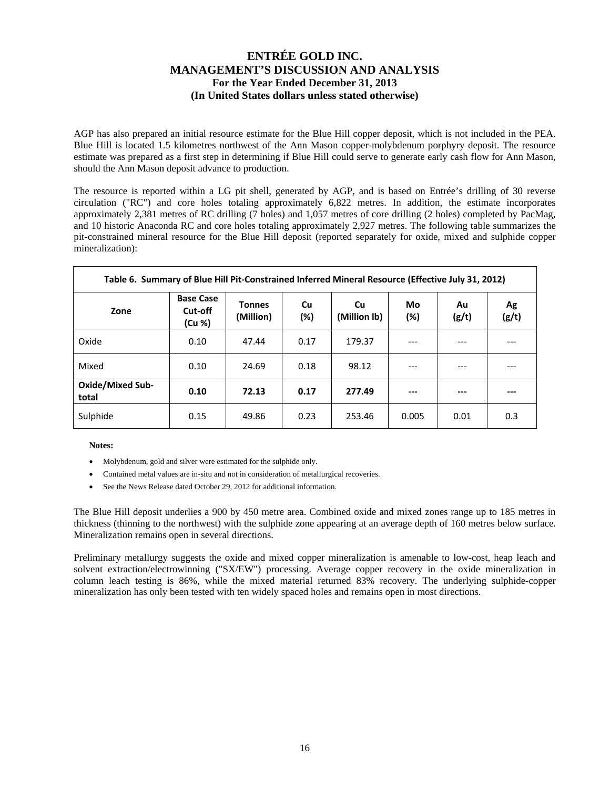AGP has also prepared an initial resource estimate for the Blue Hill copper deposit, which is not included in the PEA. Blue Hill is located 1.5 kilometres northwest of the Ann Mason copper-molybdenum porphyry deposit. The resource estimate was prepared as a first step in determining if Blue Hill could serve to generate early cash flow for Ann Mason, should the Ann Mason deposit advance to production.

The resource is reported within a LG pit shell, generated by AGP, and is based on Entrée's drilling of 30 reverse circulation ("RC") and core holes totaling approximately 6,822 metres. In addition, the estimate incorporates approximately 2,381 metres of RC drilling (7 holes) and 1,057 metres of core drilling (2 holes) completed by PacMag, and 10 historic Anaconda RC and core holes totaling approximately 2,927 metres. The following table summarizes the pit-constrained mineral resource for the Blue Hill deposit (reported separately for oxide, mixed and sulphide copper mineralization):

| Table 6. Summary of Blue Hill Pit-Constrained Inferred Mineral Resource (Effective July 31, 2012) |                                       |                            |              |                           |              |             |             |  |  |  |  |
|---------------------------------------------------------------------------------------------------|---------------------------------------|----------------------------|--------------|---------------------------|--------------|-------------|-------------|--|--|--|--|
| Zone                                                                                              | <b>Base Case</b><br>Cut-off<br>(Cu %) | <b>Tonnes</b><br>(Million) | Cu<br>$(\%)$ | <b>Cu</b><br>(Million lb) | Mo<br>$(\%)$ | Au<br>(g/t) | Ag<br>(g/t) |  |  |  |  |
| Oxide                                                                                             | 0.10                                  | 47.44                      | 0.17         | 179.37                    | $---$        | ---         |             |  |  |  |  |
| Mixed                                                                                             | 0.10                                  | 24.69                      | 0.18         | 98.12                     | ---          | ---         |             |  |  |  |  |
| <b>Oxide/Mixed Sub-</b><br>total                                                                  | 0.10                                  | 72.13                      | 0.17         | 277.49                    | ---          | ---         |             |  |  |  |  |
| Sulphide                                                                                          | 0.15                                  | 49.86                      | 0.23         | 253.46                    | 0.005        | 0.01        | 0.3         |  |  |  |  |

**Notes:** 

- Molybdenum, gold and silver were estimated for the sulphide only.
- Contained metal values are in-situ and not in consideration of metallurgical recoveries.
- See the News Release dated October 29, 2012 for additional information.

The Blue Hill deposit underlies a 900 by 450 metre area. Combined oxide and mixed zones range up to 185 metres in thickness (thinning to the northwest) with the sulphide zone appearing at an average depth of 160 metres below surface. Mineralization remains open in several directions.

Preliminary metallurgy suggests the oxide and mixed copper mineralization is amenable to low-cost, heap leach and solvent extraction/electrowinning ("SX/EW") processing. Average copper recovery in the oxide mineralization in column leach testing is 86%, while the mixed material returned 83% recovery. The underlying sulphide-copper mineralization has only been tested with ten widely spaced holes and remains open in most directions.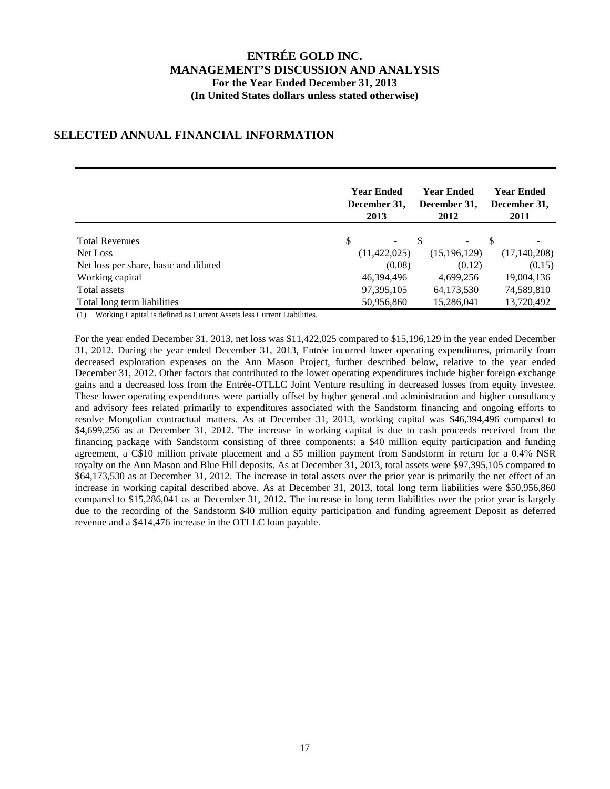## **SELECTED ANNUAL FINANCIAL INFORMATION**

|                                       | <b>Year Ended</b><br>December 31,<br>2013 |  | <b>Year Ended</b><br>December 31,<br>2012 |     | <b>Year Ended</b><br>December 31,<br>2011 |
|---------------------------------------|-------------------------------------------|--|-------------------------------------------|-----|-------------------------------------------|
| <b>Total Revenues</b>                 | S<br>$\overline{\phantom{0}}$             |  | -                                         | \$. |                                           |
| Net Loss                              | (11, 422, 025)                            |  | (15, 196, 129)                            |     | (17, 140, 208)                            |
| Net loss per share, basic and diluted | (0.08)                                    |  | (0.12)                                    |     | (0.15)                                    |
| Working capital                       | 46,394,496                                |  | 4,699,256                                 |     | 19,004,136                                |
| Total assets                          | 97, 395, 105                              |  | 64,173,530                                |     | 74,589,810                                |
| Total long term liabilities           | 50,956,860                                |  | 15,286,041                                |     | 13,720,492                                |

(1) Working Capital is defined as Current Assets less Current Liabilities.

For the year ended December 31, 2013, net loss was \$11,422,025 compared to \$15,196,129 in the year ended December 31, 2012. During the year ended December 31, 2013, Entrée incurred lower operating expenditures, primarily from decreased exploration expenses on the Ann Mason Project, further described below, relative to the year ended December 31, 2012. Other factors that contributed to the lower operating expenditures include higher foreign exchange gains and a decreased loss from the Entrée-OTLLC Joint Venture resulting in decreased losses from equity investee. These lower operating expenditures were partially offset by higher general and administration and higher consultancy and advisory fees related primarily to expenditures associated with the Sandstorm financing and ongoing efforts to resolve Mongolian contractual matters. As at December 31, 2013, working capital was \$46,394,496 compared to \$4,699,256 as at December 31, 2012. The increase in working capital is due to cash proceeds received from the financing package with Sandstorm consisting of three components: a \$40 million equity participation and funding agreement, a C\$10 million private placement and a \$5 million payment from Sandstorm in return for a 0.4% NSR royalty on the Ann Mason and Blue Hill deposits. As at December 31, 2013, total assets were \$97,395,105 compared to \$64,173,530 as at December 31, 2012. The increase in total assets over the prior year is primarily the net effect of an increase in working capital described above. As at December 31, 2013, total long term liabilities were \$50,956,860 compared to \$15,286,041 as at December 31, 2012. The increase in long term liabilities over the prior year is largely due to the recording of the Sandstorm \$40 million equity participation and funding agreement Deposit as deferred revenue and a \$414,476 increase in the OTLLC loan payable.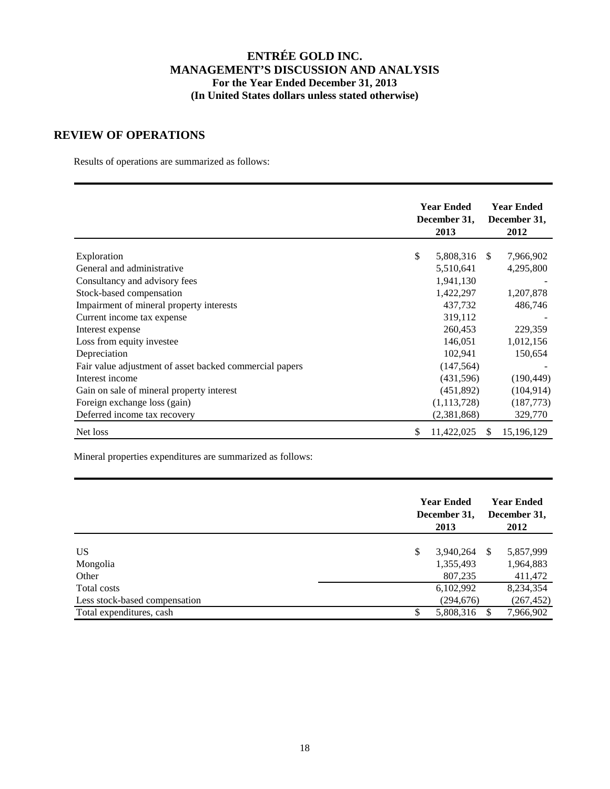### **REVIEW OF OPERATIONS**

Results of operations are summarized as follows:

|                                                         | <b>Year Ended</b><br>December 31,<br>2013 |     | <b>Year Ended</b><br>December 31,<br>2012 |
|---------------------------------------------------------|-------------------------------------------|-----|-------------------------------------------|
|                                                         |                                           |     |                                           |
| Exploration                                             | \$<br>5,808,316 \$                        |     | 7,966,902                                 |
| General and administrative                              | 5,510,641                                 |     | 4,295,800                                 |
| Consultancy and advisory fees                           | 1,941,130                                 |     |                                           |
| Stock-based compensation                                | 1,422,297                                 |     | 1,207,878                                 |
| Impairment of mineral property interests                | 437,732                                   |     | 486,746                                   |
| Current income tax expense                              | 319,112                                   |     |                                           |
| Interest expense                                        | 260,453                                   |     | 229,359                                   |
| Loss from equity investee                               | 146,051                                   |     | 1,012,156                                 |
| Depreciation                                            | 102,941                                   |     | 150,654                                   |
| Fair value adjustment of asset backed commercial papers | (147, 564)                                |     |                                           |
| Interest income                                         | (431,596)                                 |     | (190, 449)                                |
| Gain on sale of mineral property interest               | (451,892)                                 |     | (104, 914)                                |
| Foreign exchange loss (gain)                            | (1,113,728)                               |     | (187, 773)                                |
| Deferred income tax recovery                            | (2,381,868)                               |     | 329,770                                   |
| Net loss                                                | \$<br>11,422,025                          | \$. | 15,196,129                                |

Mineral properties expenditures are summarized as follows:

| 2013                         |                                                           | <b>Year Ended</b><br>December 31,<br>2012 |
|------------------------------|-----------------------------------------------------------|-------------------------------------------|
| \$<br>3,940,264<br>1,355,493 | -S                                                        | 5,857,999<br>1,964,883<br>411,472         |
| 6,102,992<br>(294, 676)      |                                                           | 8,234,354<br>(267, 452)<br>7,966,902      |
|                              | <b>Year Ended</b><br>December 31,<br>807,235<br>5,808,316 |                                           |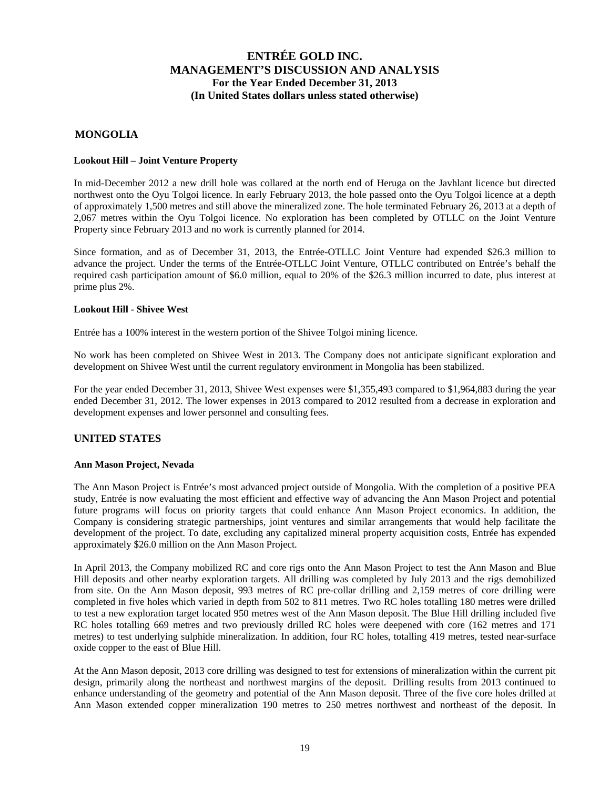### **MONGOLIA**

#### **Lookout Hill – Joint Venture Property**

In mid-December 2012 a new drill hole was collared at the north end of Heruga on the Javhlant licence but directed northwest onto the Oyu Tolgoi licence. In early February 2013, the hole passed onto the Oyu Tolgoi licence at a depth of approximately 1,500 metres and still above the mineralized zone. The hole terminated February 26, 2013 at a depth of 2,067 metres within the Oyu Tolgoi licence. No exploration has been completed by OTLLC on the Joint Venture Property since February 2013 and no work is currently planned for 2014.

Since formation, and as of December 31, 2013, the Entrée-OTLLC Joint Venture had expended \$26.3 million to advance the project. Under the terms of the Entrée-OTLLC Joint Venture, OTLLC contributed on Entrée's behalf the required cash participation amount of \$6.0 million, equal to 20% of the \$26.3 million incurred to date, plus interest at prime plus 2%.

### **Lookout Hill - Shivee West**

Entrée has a 100% interest in the western portion of the Shivee Tolgoi mining licence.

No work has been completed on Shivee West in 2013. The Company does not anticipate significant exploration and development on Shivee West until the current regulatory environment in Mongolia has been stabilized.

For the year ended December 31, 2013, Shivee West expenses were \$1,355,493 compared to \$1,964,883 during the year ended December 31, 2012. The lower expenses in 2013 compared to 2012 resulted from a decrease in exploration and development expenses and lower personnel and consulting fees.

### **UNITED STATES**

#### **Ann Mason Project, Nevada**

The Ann Mason Project is Entrée's most advanced project outside of Mongolia. With the completion of a positive PEA study, Entrée is now evaluating the most efficient and effective way of advancing the Ann Mason Project and potential future programs will focus on priority targets that could enhance Ann Mason Project economics. In addition, the Company is considering strategic partnerships, joint ventures and similar arrangements that would help facilitate the development of the project. To date, excluding any capitalized mineral property acquisition costs, Entrée has expended approximately \$26.0 million on the Ann Mason Project.

In April 2013, the Company mobilized RC and core rigs onto the Ann Mason Project to test the Ann Mason and Blue Hill deposits and other nearby exploration targets. All drilling was completed by July 2013 and the rigs demobilized from site. On the Ann Mason deposit, 993 metres of RC pre-collar drilling and 2,159 metres of core drilling were completed in five holes which varied in depth from 502 to 811 metres. Two RC holes totalling 180 metres were drilled to test a new exploration target located 950 metres west of the Ann Mason deposit. The Blue Hill drilling included five RC holes totalling 669 metres and two previously drilled RC holes were deepened with core (162 metres and 171 metres) to test underlying sulphide mineralization. In addition, four RC holes, totalling 419 metres, tested near-surface oxide copper to the east of Blue Hill.

At the Ann Mason deposit, 2013 core drilling was designed to test for extensions of mineralization within the current pit design, primarily along the northeast and northwest margins of the deposit. Drilling results from 2013 continued to enhance understanding of the geometry and potential of the Ann Mason deposit. Three of the five core holes drilled at Ann Mason extended copper mineralization 190 metres to 250 metres northwest and northeast of the deposit. In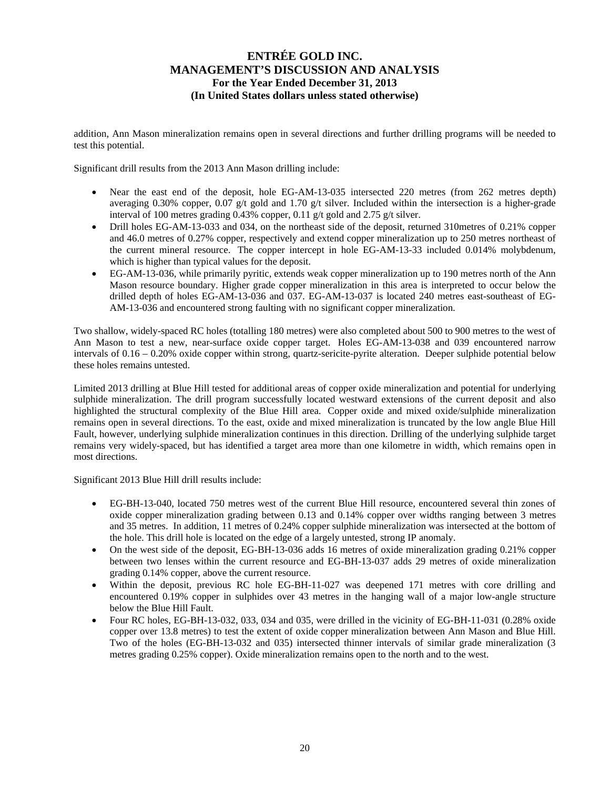addition, Ann Mason mineralization remains open in several directions and further drilling programs will be needed to test this potential.

Significant drill results from the 2013 Ann Mason drilling include:

- Near the east end of the deposit, hole EG-AM-13-035 intersected 220 metres (from 262 metres depth) averaging 0.30% copper, 0.07 g/t gold and 1.70 g/t silver. Included within the intersection is a higher-grade interval of 100 metres grading 0.43% copper, 0.11 g/t gold and 2.75 g/t silver.
- Drill holes EG-AM-13-033 and 034, on the northeast side of the deposit, returned 310 metres of 0.21% copper and 46.0 metres of 0.27% copper, respectively and extend copper mineralization up to 250 metres northeast of the current mineral resource. The copper intercept in hole EG-AM-13-33 included 0.014% molybdenum, which is higher than typical values for the deposit.
- EG-AM-13-036, while primarily pyritic, extends weak copper mineralization up to 190 metres north of the Ann Mason resource boundary. Higher grade copper mineralization in this area is interpreted to occur below the drilled depth of holes EG-AM-13-036 and 037. EG-AM-13-037 is located 240 metres east-southeast of EG-AM-13-036 and encountered strong faulting with no significant copper mineralization.

Two shallow, widely-spaced RC holes (totalling 180 metres) were also completed about 500 to 900 metres to the west of Ann Mason to test a new, near-surface oxide copper target. Holes EG-AM-13-038 and 039 encountered narrow intervals of 0.16 – 0.20% oxide copper within strong, quartz-sericite-pyrite alteration. Deeper sulphide potential below these holes remains untested.

Limited 2013 drilling at Blue Hill tested for additional areas of copper oxide mineralization and potential for underlying sulphide mineralization. The drill program successfully located westward extensions of the current deposit and also highlighted the structural complexity of the Blue Hill area. Copper oxide and mixed oxide/sulphide mineralization remains open in several directions. To the east, oxide and mixed mineralization is truncated by the low angle Blue Hill Fault, however, underlying sulphide mineralization continues in this direction. Drilling of the underlying sulphide target remains very widely-spaced, but has identified a target area more than one kilometre in width, which remains open in most directions.

Significant 2013 Blue Hill drill results include:

- EG-BH-13-040, located 750 metres west of the current Blue Hill resource, encountered several thin zones of oxide copper mineralization grading between 0.13 and 0.14% copper over widths ranging between 3 metres and 35 metres. In addition, 11 metres of 0.24% copper sulphide mineralization was intersected at the bottom of the hole. This drill hole is located on the edge of a largely untested, strong IP anomaly.
- On the west side of the deposit, EG-BH-13-036 adds 16 metres of oxide mineralization grading 0.21% copper between two lenses within the current resource and EG-BH-13-037 adds 29 metres of oxide mineralization grading 0.14% copper, above the current resource.
- Within the deposit, previous RC hole EG-BH-11-027 was deepened 171 metres with core drilling and encountered 0.19% copper in sulphides over 43 metres in the hanging wall of a major low-angle structure below the Blue Hill Fault.
- Four RC holes, EG-BH-13-032, 033, 034 and 035, were drilled in the vicinity of EG-BH-11-031 (0.28% oxide copper over 13.8 metres) to test the extent of oxide copper mineralization between Ann Mason and Blue Hill. Two of the holes (EG-BH-13-032 and 035) intersected thinner intervals of similar grade mineralization (3 metres grading 0.25% copper). Oxide mineralization remains open to the north and to the west.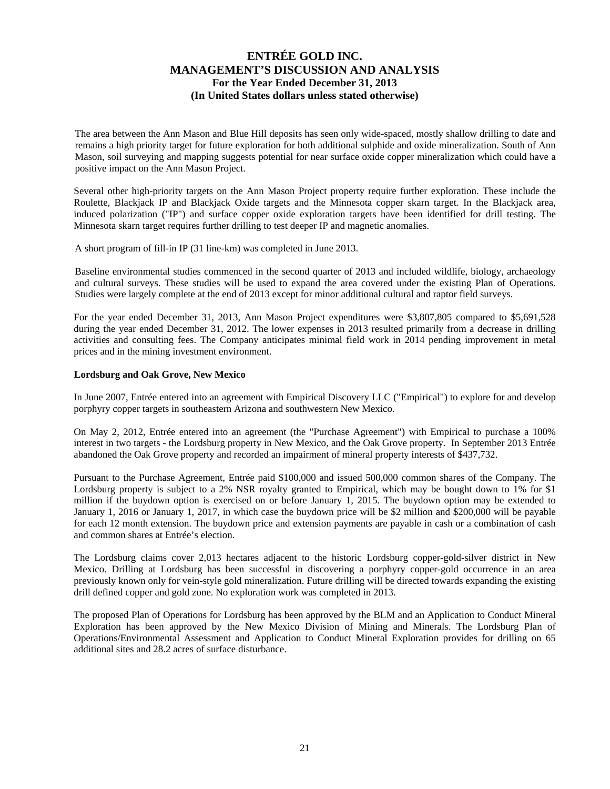The area between the Ann Mason and Blue Hill deposits has seen only wide-spaced, mostly shallow drilling to date and remains a high priority target for future exploration for both additional sulphide and oxide mineralization. South of Ann Mason, soil surveying and mapping suggests potential for near surface oxide copper mineralization which could have a positive impact on the Ann Mason Project.

Several other high-priority targets on the Ann Mason Project property require further exploration. These include the Roulette, Blackjack IP and Blackjack Oxide targets and the Minnesota copper skarn target. In the Blackjack area, induced polarization ("IP") and surface copper oxide exploration targets have been identified for drill testing. The Minnesota skarn target requires further drilling to test deeper IP and magnetic anomalies.

A short program of fill-in IP (31 line-km) was completed in June 2013.

Baseline environmental studies commenced in the second quarter of 2013 and included wildlife, biology, archaeology and cultural surveys. These studies will be used to expand the area covered under the existing Plan of Operations. Studies were largely complete at the end of 2013 except for minor additional cultural and raptor field surveys.

For the year ended December 31, 2013, Ann Mason Project expenditures were \$3,807,805 compared to \$5,691,528 during the year ended December 31, 2012. The lower expenses in 2013 resulted primarily from a decrease in drilling activities and consulting fees. The Company anticipates minimal field work in 2014 pending improvement in metal prices and in the mining investment environment.

### **Lordsburg and Oak Grove, New Mexico**

In June 2007, Entrée entered into an agreement with Empirical Discovery LLC ("Empirical") to explore for and develop porphyry copper targets in southeastern Arizona and southwestern New Mexico.

On May 2, 2012, Entrée entered into an agreement (the "Purchase Agreement") with Empirical to purchase a 100% interest in two targets - the Lordsburg property in New Mexico, and the Oak Grove property. In September 2013 Entrée abandoned the Oak Grove property and recorded an impairment of mineral property interests of \$437,732.

Pursuant to the Purchase Agreement, Entrée paid \$100,000 and issued 500,000 common shares of the Company. The Lordsburg property is subject to a 2% NSR royalty granted to Empirical, which may be bought down to 1% for \$1 million if the buydown option is exercised on or before January 1, 2015. The buydown option may be extended to January 1, 2016 or January 1, 2017, in which case the buydown price will be \$2 million and \$200,000 will be payable for each 12 month extension. The buydown price and extension payments are payable in cash or a combination of cash and common shares at Entrée's election.

The Lordsburg claims cover 2,013 hectares adjacent to the historic Lordsburg copper-gold-silver district in New Mexico. Drilling at Lordsburg has been successful in discovering a porphyry copper-gold occurrence in an area previously known only for vein-style gold mineralization. Future drilling will be directed towards expanding the existing drill defined copper and gold zone. No exploration work was completed in 2013.

The proposed Plan of Operations for Lordsburg has been approved by the BLM and an Application to Conduct Mineral Exploration has been approved by the New Mexico Division of Mining and Minerals. The Lordsburg Plan of Operations/Environmental Assessment and Application to Conduct Mineral Exploration provides for drilling on 65 additional sites and 28.2 acres of surface disturbance.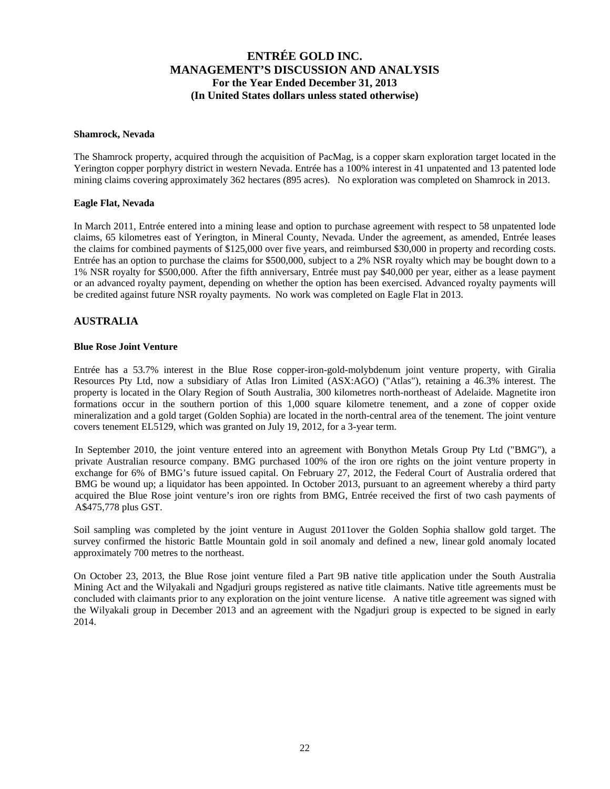#### **Shamrock, Nevada**

The Shamrock property, acquired through the acquisition of PacMag, is a copper skarn exploration target located in the Yerington copper porphyry district in western Nevada. Entrée has a 100% interest in 41 unpatented and 13 patented lode mining claims covering approximately 362 hectares (895 acres). No exploration was completed on Shamrock in 2013.

### **Eagle Flat, Nevada**

In March 2011, Entrée entered into a mining lease and option to purchase agreement with respect to 58 unpatented lode claims, 65 kilometres east of Yerington, in Mineral County, Nevada. Under the agreement, as amended, Entrée leases the claims for combined payments of \$125,000 over five years, and reimbursed \$30,000 in property and recording costs. Entrée has an option to purchase the claims for \$500,000, subject to a 2% NSR royalty which may be bought down to a 1% NSR royalty for \$500,000. After the fifth anniversary, Entrée must pay \$40,000 per year, either as a lease payment or an advanced royalty payment, depending on whether the option has been exercised. Advanced royalty payments will be credited against future NSR royalty payments. No work was completed on Eagle Flat in 2013.

### **AUSTRALIA**

#### **Blue Rose Joint Venture**

Entrée has a 53.7% interest in the Blue Rose copper-iron-gold-molybdenum joint venture property, with Giralia Resources Pty Ltd, now a subsidiary of Atlas Iron Limited (ASX:AGO) ("Atlas"), retaining a 46.3% interest. The property is located in the Olary Region of South Australia, 300 kilometres north-northeast of Adelaide. Magnetite iron formations occur in the southern portion of this 1,000 square kilometre tenement, and a zone of copper oxide mineralization and a gold target (Golden Sophia) are located in the north-central area of the tenement. The joint venture covers tenement EL5129, which was granted on July 19, 2012, for a 3-year term.

In September 2010, the joint venture entered into an agreement with Bonython Metals Group Pty Ltd ("BMG"), a private Australian resource company. BMG purchased 100% of the iron ore rights on the joint venture property in exchange for 6% of BMG's future issued capital. On February 27, 2012, the Federal Court of Australia ordered that BMG be wound up; a liquidator has been appointed. In October 2013, pursuant to an agreement whereby a third party acquired the Blue Rose joint venture's iron ore rights from BMG, Entrée received the first of two cash payments of A\$475,778 plus GST.

Soil sampling was completed by the joint venture in August 2011over the Golden Sophia shallow gold target. The survey confirmed the historic Battle Mountain gold in soil anomaly and defined a new, linear gold anomaly located approximately 700 metres to the northeast.

On October 23, 2013, the Blue Rose joint venture filed a Part 9B native title application under the South Australia Mining Act and the Wilyakali and Ngadjuri groups registered as native title claimants. Native title agreements must be concluded with claimants prior to any exploration on the joint venture license. A native title agreement was signed with the Wilyakali group in December 2013 and an agreement with the Ngadjuri group is expected to be signed in early 2014.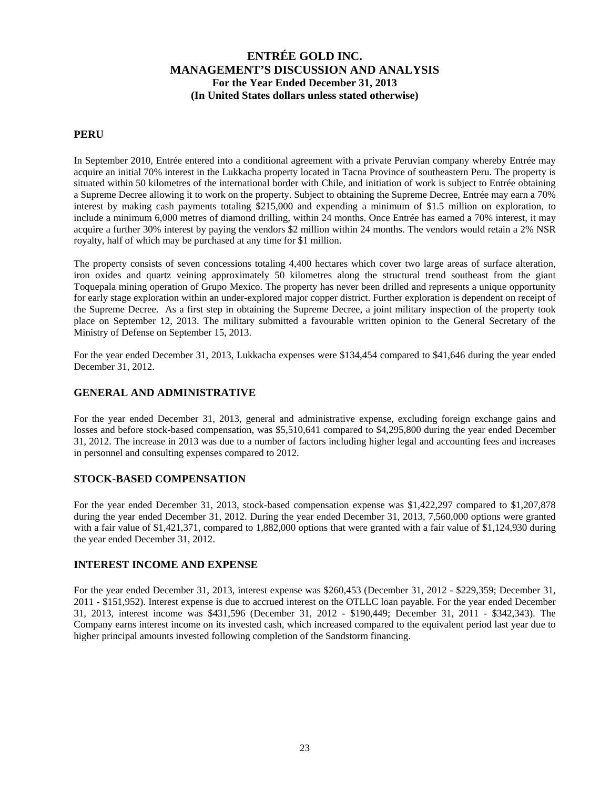### **PERU**

In September 2010, Entrée entered into a conditional agreement with a private Peruvian company whereby Entrée may acquire an initial 70% interest in the Lukkacha property located in Tacna Province of southeastern Peru. The property is situated within 50 kilometres of the international border with Chile, and initiation of work is subject to Entrée obtaining a Supreme Decree allowing it to work on the property. Subject to obtaining the Supreme Decree, Entrée may earn a 70% interest by making cash payments totaling \$215,000 and expending a minimum of \$1.5 million on exploration, to include a minimum 6,000 metres of diamond drilling, within 24 months. Once Entrée has earned a 70% interest, it may acquire a further 30% interest by paying the vendors \$2 million within 24 months. The vendors would retain a 2% NSR royalty, half of which may be purchased at any time for \$1 million.

The property consists of seven concessions totaling 4,400 hectares which cover two large areas of surface alteration, iron oxides and quartz veining approximately 50 kilometres along the structural trend southeast from the giant Toquepala mining operation of Grupo Mexico. The property has never been drilled and represents a unique opportunity for early stage exploration within an under-explored major copper district. Further exploration is dependent on receipt of the Supreme Decree. As a first step in obtaining the Supreme Decree, a joint military inspection of the property took place on September 12, 2013. The military submitted a favourable written opinion to the General Secretary of the Ministry of Defense on September 15, 2013.

For the year ended December 31, 2013, Lukkacha expenses were \$134,454 compared to \$41,646 during the year ended December 31, 2012.

### **GENERAL AND ADMINISTRATIVE**

For the year ended December 31, 2013, general and administrative expense, excluding foreign exchange gains and losses and before stock-based compensation, was \$5,510,641 compared to \$4,295,800 during the year ended December 31, 2012. The increase in 2013 was due to a number of factors including higher legal and accounting fees and increases in personnel and consulting expenses compared to 2012.

### **STOCK-BASED COMPENSATION**

For the year ended December 31, 2013, stock-based compensation expense was \$1,422,297 compared to \$1,207,878 during the year ended December 31, 2012. During the year ended December 31, 2013, 7,560,000 options were granted with a fair value of \$1,421,371, compared to 1,882,000 options that were granted with a fair value of \$1,124,930 during the year ended December 31, 2012.

### **INTEREST INCOME AND EXPENSE**

For the year ended December 31, 2013, interest expense was \$260,453 (December 31, 2012 - \$229,359; December 31, 2011 - \$151,952). Interest expense is due to accrued interest on the OTLLC loan payable. For the year ended December 31, 2013, interest income was \$431,596 (December 31, 2012 - \$190,449; December 31, 2011 - \$342,343). The Company earns interest income on its invested cash, which increased compared to the equivalent period last year due to higher principal amounts invested following completion of the Sandstorm financing.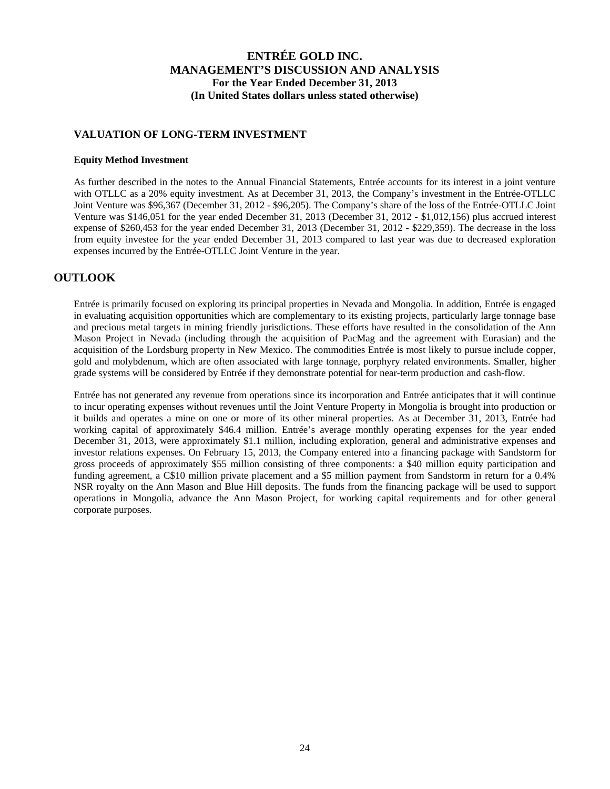### **VALUATION OF LONG-TERM INVESTMENT**

#### **Equity Method Investment**

As further described in the notes to the Annual Financial Statements, Entrée accounts for its interest in a joint venture with OTLLC as a 20% equity investment. As at December 31, 2013, the Company's investment in the Entrée-OTLLC Joint Venture was \$96,367 (December 31, 2012 - \$96,205). The Company's share of the loss of the Entrée-OTLLC Joint Venture was \$146,051 for the year ended December 31, 2013 (December 31, 2012 - \$1,012,156) plus accrued interest expense of \$260,453 for the year ended December 31, 2013 (December 31, 2012 - \$229,359). The decrease in the loss from equity investee for the year ended December 31, 2013 compared to last year was due to decreased exploration expenses incurred by the Entrée-OTLLC Joint Venture in the year.

## **OUTLOOK**

Entrée is primarily focused on exploring its principal properties in Nevada and Mongolia. In addition, Entrée is engaged in evaluating acquisition opportunities which are complementary to its existing projects, particularly large tonnage base and precious metal targets in mining friendly jurisdictions. These efforts have resulted in the consolidation of the Ann Mason Project in Nevada (including through the acquisition of PacMag and the agreement with Eurasian) and the acquisition of the Lordsburg property in New Mexico. The commodities Entrée is most likely to pursue include copper, gold and molybdenum, which are often associated with large tonnage, porphyry related environments. Smaller, higher grade systems will be considered by Entrée if they demonstrate potential for near-term production and cash-flow.

Entrée has not generated any revenue from operations since its incorporation and Entrée anticipates that it will continue to incur operating expenses without revenues until the Joint Venture Property in Mongolia is brought into production or it builds and operates a mine on one or more of its other mineral properties. As at December 31, 2013, Entrée had working capital of approximately \$46.4 million. Entrée's average monthly operating expenses for the year ended December 31, 2013, were approximately \$1.1 million, including exploration, general and administrative expenses and investor relations expenses. On February 15, 2013, the Company entered into a financing package with Sandstorm for gross proceeds of approximately \$55 million consisting of three components: a \$40 million equity participation and funding agreement, a C\$10 million private placement and a \$5 million payment from Sandstorm in return for a 0.4% NSR royalty on the Ann Mason and Blue Hill deposits. The funds from the financing package will be used to support operations in Mongolia, advance the Ann Mason Project, for working capital requirements and for other general corporate purposes.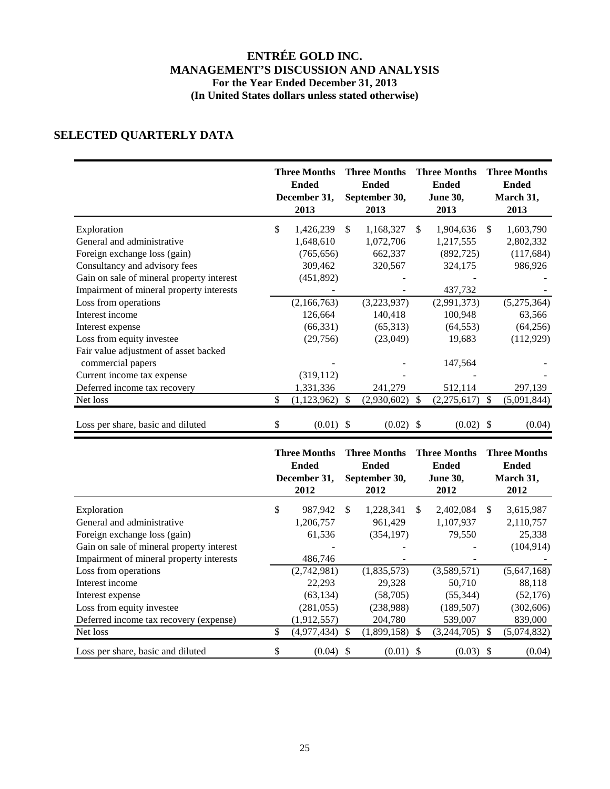# **SELECTED QUARTERLY DATA**

|                                           |     | <b>Three Months</b><br><b>Ended</b><br>December 31,<br>2013 |               | <b>Three Months</b><br><b>Ended</b><br>September 30,<br>2013 |      | <b>Three Months</b><br><b>Ended</b><br><b>June 30,</b><br>2013 |               | <b>Three Months</b><br><b>Ended</b><br>March 31,<br>2013 |
|-------------------------------------------|-----|-------------------------------------------------------------|---------------|--------------------------------------------------------------|------|----------------------------------------------------------------|---------------|----------------------------------------------------------|
| Exploration                               | \$  | 1,426,239                                                   | <sup>\$</sup> | 1,168,327                                                    | \$.  | 1,904,636                                                      | \$.           | 1,603,790                                                |
| General and administrative                |     | 1,648,610                                                   |               | 1,072,706                                                    |      | 1,217,555                                                      |               | 2,802,332                                                |
| Foreign exchange loss (gain)              |     | (765, 656)                                                  |               | 662,337                                                      |      | (892, 725)                                                     |               | (117, 684)                                               |
| Consultancy and advisory fees             |     | 309,462                                                     |               | 320,567                                                      |      | 324,175                                                        |               | 986,926                                                  |
| Gain on sale of mineral property interest |     | (451,892)                                                   |               |                                                              |      |                                                                |               |                                                          |
| Impairment of mineral property interests  |     |                                                             |               |                                                              |      | 437,732                                                        |               |                                                          |
| Loss from operations                      |     | (2,166,763)                                                 |               | (3,223,937)                                                  |      | (2,991,373)                                                    |               | (5,275,364)                                              |
| Interest income                           |     | 126,664                                                     |               | 140,418                                                      |      | 100,948                                                        |               | 63,566                                                   |
| Interest expense                          |     | (66, 331)                                                   |               | (65,313)                                                     |      | (64, 553)                                                      |               | (64, 256)                                                |
| Loss from equity investee                 |     | (29,756)                                                    |               | (23,049)                                                     |      | 19,683                                                         |               | (112, 929)                                               |
| Fair value adjustment of asset backed     |     |                                                             |               |                                                              |      |                                                                |               |                                                          |
| commercial papers                         |     |                                                             |               |                                                              |      | 147,564                                                        |               |                                                          |
| Current income tax expense                |     | (319, 112)                                                  |               |                                                              |      |                                                                |               |                                                          |
| Deferred income tax recovery              |     | 1,331,336                                                   |               | 241,279                                                      |      | 512,114                                                        |               | 297,139                                                  |
| Net loss                                  | \$. | (1, 123, 962)                                               | \$            | (2,930,602)                                                  | S.   | (2,275,617)                                                    | <sup>\$</sup> | (5,091,844)                                              |
| Loss per share, basic and diluted         | \$  | $(0.01)$ \$                                                 |               | (0.02)                                                       | - \$ | (0.02)                                                         | <sup>S</sup>  | (0.04)                                                   |

|                                           | <b>Three Months</b><br><b>Ended</b><br>December 31,<br>2012 |               | <b>Three Months</b><br><b>Ended</b><br>September 30,<br>2012 |     | <b>Three Months</b><br><b>Ended</b><br><b>June 30,</b><br>2012 |    | <b>Three Months</b><br><b>Ended</b><br>March 31,<br>2012 |
|-------------------------------------------|-------------------------------------------------------------|---------------|--------------------------------------------------------------|-----|----------------------------------------------------------------|----|----------------------------------------------------------|
| Exploration                               | \$<br>987,942                                               | S             | 1,228,341                                                    | S   | 2,402,084                                                      | S  | 3,615,987                                                |
| General and administrative                | 1,206,757                                                   |               | 961.429                                                      |     | 1,107,937                                                      |    | 2,110,757                                                |
| Foreign exchange loss (gain)              | 61,536                                                      |               | (354, 197)                                                   |     | 79,550                                                         |    | 25,338                                                   |
| Gain on sale of mineral property interest |                                                             |               |                                                              |     |                                                                |    | (104, 914)                                               |
| Impairment of mineral property interests  | 486,746                                                     |               |                                                              |     |                                                                |    |                                                          |
| Loss from operations                      | (2,742,981)                                                 |               | (1,835,573)                                                  |     | (3,589,571)                                                    |    | (5,647,168)                                              |
| Interest income                           | 22,293                                                      |               | 29,328                                                       |     | 50,710                                                         |    | 88,118                                                   |
| Interest expense                          | (63, 134)                                                   |               | (58,705)                                                     |     | (55, 344)                                                      |    | (52, 176)                                                |
| Loss from equity investee                 | (281, 055)                                                  |               | (238,988)                                                    |     | (189, 507)                                                     |    | (302, 606)                                               |
| Deferred income tax recovery (expense)    | (1,912,557)                                                 |               | 204,780                                                      |     | 539,007                                                        |    | 839,000                                                  |
| Net loss                                  | \$<br>(4,977,434)                                           | <sup>\$</sup> | (1,899,158)                                                  | \$. | (3,244,705)                                                    | S  | (5,074,832)                                              |
| Loss per share, basic and diluted         | \$<br>(0.04)                                                | -S            | $(0.01)$ \$                                                  |     | (0.03)                                                         | -S | (0.04)                                                   |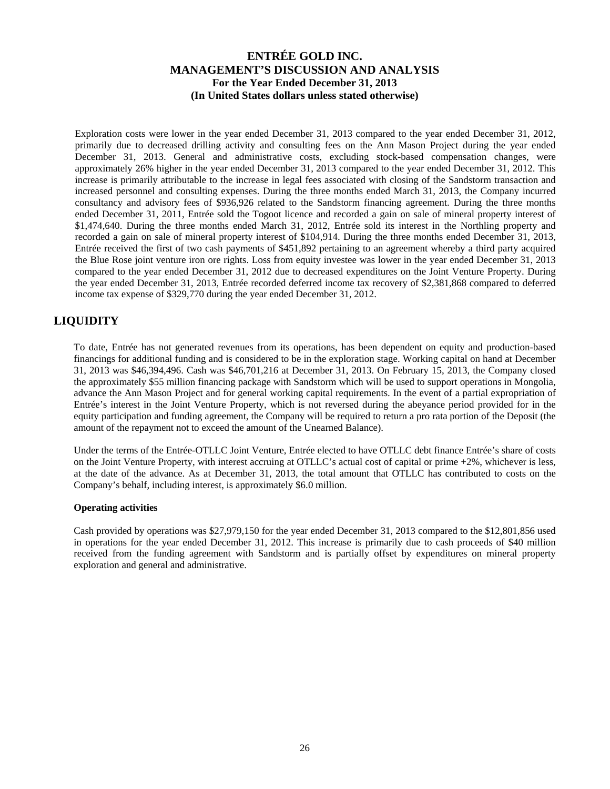Exploration costs were lower in the year ended December 31, 2013 compared to the year ended December 31, 2012, primarily due to decreased drilling activity and consulting fees on the Ann Mason Project during the year ended December 31, 2013. General and administrative costs, excluding stock-based compensation changes, were approximately 26% higher in the year ended December 31, 2013 compared to the year ended December 31, 2012. This increase is primarily attributable to the increase in legal fees associated with closing of the Sandstorm transaction and increased personnel and consulting expenses. During the three months ended March 31, 2013, the Company incurred consultancy and advisory fees of \$936,926 related to the Sandstorm financing agreement. During the three months ended December 31, 2011, Entrée sold the Togoot licence and recorded a gain on sale of mineral property interest of \$1,474,640. During the three months ended March 31, 2012, Entrée sold its interest in the Northling property and recorded a gain on sale of mineral property interest of \$104,914. During the three months ended December 31, 2013, Entrée received the first of two cash payments of \$451,892 pertaining to an agreement whereby a third party acquired the Blue Rose joint venture iron ore rights. Loss from equity investee was lower in the year ended December 31, 2013 compared to the year ended December 31, 2012 due to decreased expenditures on the Joint Venture Property. During the year ended December 31, 2013, Entrée recorded deferred income tax recovery of \$2,381,868 compared to deferred income tax expense of \$329,770 during the year ended December 31, 2012.

## **LIQUIDITY**

To date, Entrée has not generated revenues from its operations, has been dependent on equity and production-based financings for additional funding and is considered to be in the exploration stage. Working capital on hand at December 31, 2013 was \$46,394,496. Cash was \$46,701,216 at December 31, 2013. On February 15, 2013, the Company closed the approximately \$55 million financing package with Sandstorm which will be used to support operations in Mongolia, advance the Ann Mason Project and for general working capital requirements. In the event of a partial expropriation of Entrée's interest in the Joint Venture Property, which is not reversed during the abeyance period provided for in the equity participation and funding agreement, the Company will be required to return a pro rata portion of the Deposit (the amount of the repayment not to exceed the amount of the Unearned Balance).

Under the terms of the Entrée-OTLLC Joint Venture, Entrée elected to have OTLLC debt finance Entrée's share of costs on the Joint Venture Property, with interest accruing at OTLLC's actual cost of capital or prime +2%, whichever is less, at the date of the advance. As at December 31, 2013, the total amount that OTLLC has contributed to costs on the Company's behalf, including interest, is approximately \$6.0 million.

### **Operating activities**

Cash provided by operations was \$27,979,150 for the year ended December 31, 2013 compared to the \$12,801,856 used in operations for the year ended December 31, 2012. This increase is primarily due to cash proceeds of \$40 million received from the funding agreement with Sandstorm and is partially offset by expenditures on mineral property exploration and general and administrative.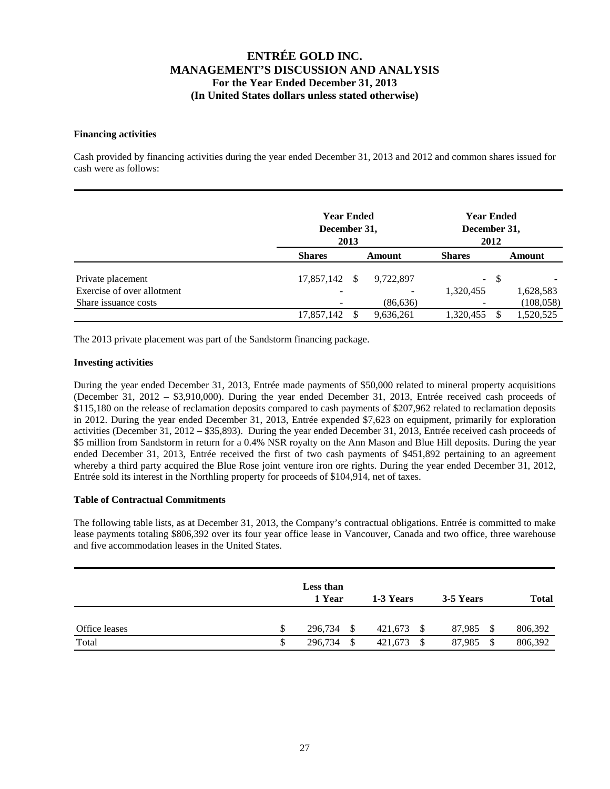### **Financing activities**

Cash provided by financing activities during the year ended December 31, 2013 and 2012 and common shares issued for cash were as follows:

|                            |               | <b>Year Ended</b><br>December 31,<br>2013 |           |               | <b>Year Ended</b><br>December 31,<br>2012 |            |  |
|----------------------------|---------------|-------------------------------------------|-----------|---------------|-------------------------------------------|------------|--|
|                            | <b>Shares</b> |                                           | Amount    | <b>Shares</b> |                                           | Amount     |  |
| Private placement          | 17,857,142    | <sup>\$</sup>                             | 9,722,897 |               | $- S$                                     |            |  |
| Exercise of over allotment |               |                                           |           | 1,320,455     |                                           | 1,628,583  |  |
| Share issuance costs       |               |                                           | (86, 636) |               |                                           | (108, 058) |  |
|                            | 17,857,142    |                                           | 9,636,261 | 1,320,455     |                                           | 1,520,525  |  |

The 2013 private placement was part of the Sandstorm financing package.

### **Investing activities**

During the year ended December 31, 2013, Entrée made payments of \$50,000 related to mineral property acquisitions (December 31, 2012 – \$3,910,000). During the year ended December 31, 2013, Entrée received cash proceeds of \$115,180 on the release of reclamation deposits compared to cash payments of \$207,962 related to reclamation deposits in 2012. During the year ended December 31, 2013, Entrée expended \$7,623 on equipment, primarily for exploration activities (December 31, 2012 – \$35,893). During the year ended December 31, 2013, Entrée received cash proceeds of \$5 million from Sandstorm in return for a 0.4% NSR royalty on the Ann Mason and Blue Hill deposits. During the year ended December 31, 2013, Entrée received the first of two cash payments of \$451,892 pertaining to an agreement whereby a third party acquired the Blue Rose joint venture iron ore rights. During the year ended December 31, 2012, Entrée sold its interest in the Northling property for proceeds of \$104,914, net of taxes.

### **Table of Contractual Commitments**

The following table lists, as at December 31, 2013, the Company's contractual obligations. Entrée is committed to make lease payments totaling \$806,392 over its four year office lease in Vancouver, Canada and two office, three warehouse and five accommodation leases in the United States.

|               | Less than<br>1 Year | 1-3 Years       | 3-5 Years      | <b>Total</b> |
|---------------|---------------------|-----------------|----------------|--------------|
| Office leases | \$<br>296,734<br>-S | 421,673<br>- \$ | 87.985<br>- \$ | 806,392      |
| Total         | \$<br>296,734<br>\$ | 421,673         | 87,985<br>S    | 806,392      |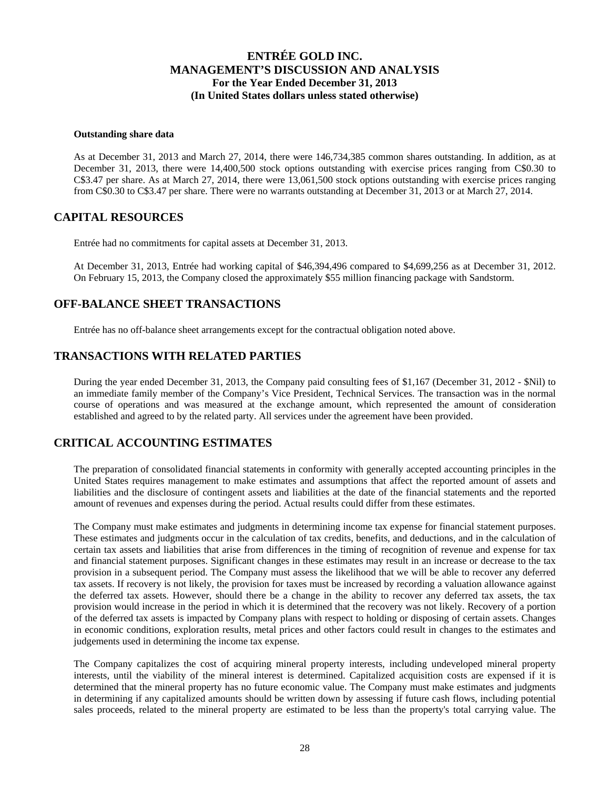#### **Outstanding share data**

As at December 31, 2013 and March 27, 2014, there were 146,734,385 common shares outstanding. In addition, as at December 31, 2013, there were 14,400,500 stock options outstanding with exercise prices ranging from C\$0.30 to C\$3.47 per share. As at March 27, 2014, there were 13,061,500 stock options outstanding with exercise prices ranging from C\$0.30 to C\$3.47 per share. There were no warrants outstanding at December 31, 2013 or at March 27, 2014.

### **CAPITAL RESOURCES**

Entrée had no commitments for capital assets at December 31, 2013.

At December 31, 2013, Entrée had working capital of \$46,394,496 compared to \$4,699,256 as at December 31, 2012. On February 15, 2013, the Company closed the approximately \$55 million financing package with Sandstorm.

### **OFF-BALANCE SHEET TRANSACTIONS**

Entrée has no off-balance sheet arrangements except for the contractual obligation noted above.

## **TRANSACTIONS WITH RELATED PARTIES**

During the year ended December 31, 2013, the Company paid consulting fees of \$1,167 (December 31, 2012 - \$Nil) to an immediate family member of the Company's Vice President, Technical Services. The transaction was in the normal course of operations and was measured at the exchange amount, which represented the amount of consideration established and agreed to by the related party. All services under the agreement have been provided.

### **CRITICAL ACCOUNTING ESTIMATES**

The preparation of consolidated financial statements in conformity with generally accepted accounting principles in the United States requires management to make estimates and assumptions that affect the reported amount of assets and liabilities and the disclosure of contingent assets and liabilities at the date of the financial statements and the reported amount of revenues and expenses during the period. Actual results could differ from these estimates.

The Company must make estimates and judgments in determining income tax expense for financial statement purposes. These estimates and judgments occur in the calculation of tax credits, benefits, and deductions, and in the calculation of certain tax assets and liabilities that arise from differences in the timing of recognition of revenue and expense for tax and financial statement purposes. Significant changes in these estimates may result in an increase or decrease to the tax provision in a subsequent period. The Company must assess the likelihood that we will be able to recover any deferred tax assets. If recovery is not likely, the provision for taxes must be increased by recording a valuation allowance against the deferred tax assets. However, should there be a change in the ability to recover any deferred tax assets, the tax provision would increase in the period in which it is determined that the recovery was not likely. Recovery of a portion of the deferred tax assets is impacted by Company plans with respect to holding or disposing of certain assets. Changes in economic conditions, exploration results, metal prices and other factors could result in changes to the estimates and judgements used in determining the income tax expense.

The Company capitalizes the cost of acquiring mineral property interests, including undeveloped mineral property interests, until the viability of the mineral interest is determined. Capitalized acquisition costs are expensed if it is determined that the mineral property has no future economic value. The Company must make estimates and judgments in determining if any capitalized amounts should be written down by assessing if future cash flows, including potential sales proceeds, related to the mineral property are estimated to be less than the property's total carrying value. The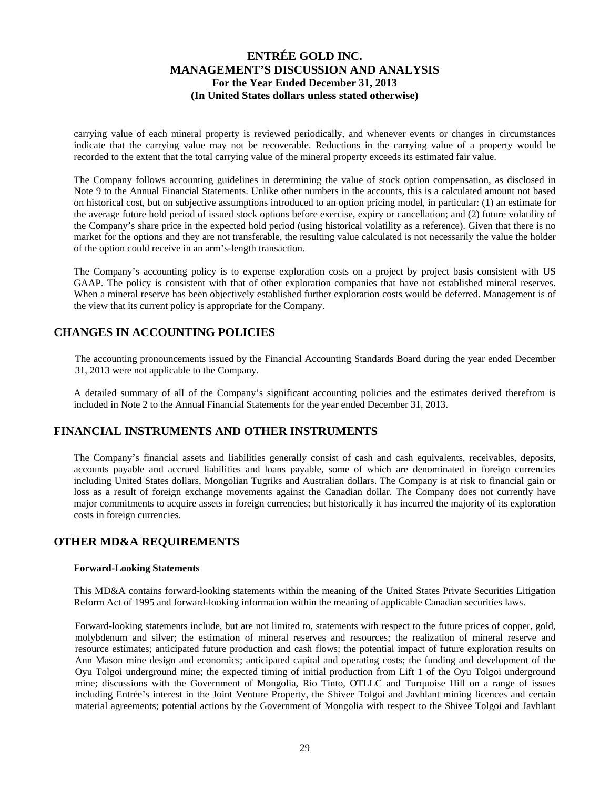carrying value of each mineral property is reviewed periodically, and whenever events or changes in circumstances indicate that the carrying value may not be recoverable. Reductions in the carrying value of a property would be recorded to the extent that the total carrying value of the mineral property exceeds its estimated fair value.

The Company follows accounting guidelines in determining the value of stock option compensation, as disclosed in Note 9 to the Annual Financial Statements. Unlike other numbers in the accounts, this is a calculated amount not based on historical cost, but on subjective assumptions introduced to an option pricing model, in particular: (1) an estimate for the average future hold period of issued stock options before exercise, expiry or cancellation; and (2) future volatility of the Company's share price in the expected hold period (using historical volatility as a reference). Given that there is no market for the options and they are not transferable, the resulting value calculated is not necessarily the value the holder of the option could receive in an arm's-length transaction.

The Company's accounting policy is to expense exploration costs on a project by project basis consistent with US GAAP. The policy is consistent with that of other exploration companies that have not established mineral reserves. When a mineral reserve has been objectively established further exploration costs would be deferred. Management is of the view that its current policy is appropriate for the Company.

## **CHANGES IN ACCOUNTING POLICIES**

The accounting pronouncements issued by the Financial Accounting Standards Board during the year ended December 31, 2013 were not applicable to the Company.

A detailed summary of all of the Company's significant accounting policies and the estimates derived therefrom is included in Note 2 to the Annual Financial Statements for the year ended December 31, 2013.

## **FINANCIAL INSTRUMENTS AND OTHER INSTRUMENTS**

The Company's financial assets and liabilities generally consist of cash and cash equivalents, receivables, deposits, accounts payable and accrued liabilities and loans payable, some of which are denominated in foreign currencies including United States dollars, Mongolian Tugriks and Australian dollars. The Company is at risk to financial gain or loss as a result of foreign exchange movements against the Canadian dollar. The Company does not currently have major commitments to acquire assets in foreign currencies; but historically it has incurred the majority of its exploration costs in foreign currencies.

## **OTHER MD&A REQUIREMENTS**

### **Forward-Looking Statements**

This MD&A contains forward-looking statements within the meaning of the United States Private Securities Litigation Reform Act of 1995 and forward-looking information within the meaning of applicable Canadian securities laws.

Forward-looking statements include, but are not limited to, statements with respect to the future prices of copper, gold, molybdenum and silver; the estimation of mineral reserves and resources; the realization of mineral reserve and resource estimates; anticipated future production and cash flows; the potential impact of future exploration results on Ann Mason mine design and economics; anticipated capital and operating costs; the funding and development of the Oyu Tolgoi underground mine; the expected timing of initial production from Lift 1 of the Oyu Tolgoi underground mine; discussions with the Government of Mongolia, Rio Tinto, OTLLC and Turquoise Hill on a range of issues including Entrée's interest in the Joint Venture Property, the Shivee Tolgoi and Javhlant mining licences and certain material agreements; potential actions by the Government of Mongolia with respect to the Shivee Tolgoi and Javhlant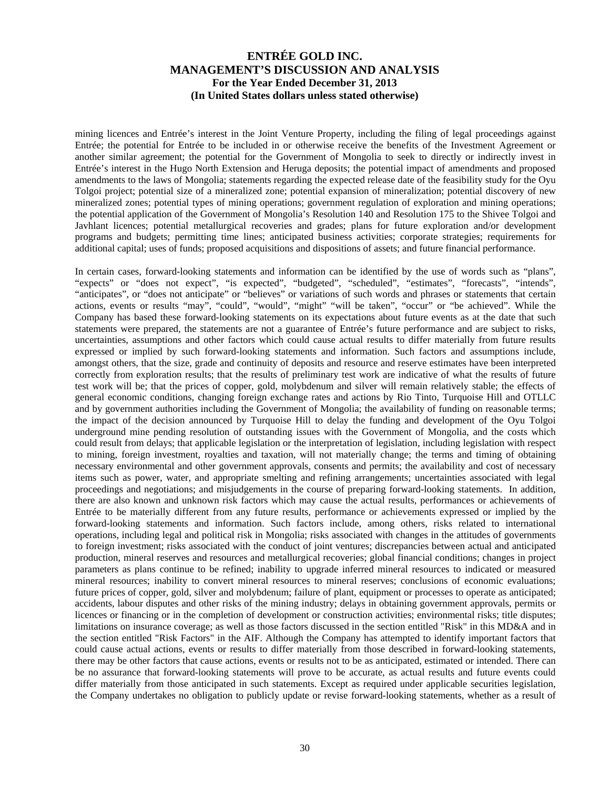mining licences and Entrée's interest in the Joint Venture Property, including the filing of legal proceedings against Entrée; the potential for Entrée to be included in or otherwise receive the benefits of the Investment Agreement or another similar agreement; the potential for the Government of Mongolia to seek to directly or indirectly invest in Entrée's interest in the Hugo North Extension and Heruga deposits; the potential impact of amendments and proposed amendments to the laws of Mongolia; statements regarding the expected release date of the feasibility study for the Oyu Tolgoi project; potential size of a mineralized zone; potential expansion of mineralization; potential discovery of new mineralized zones; potential types of mining operations; government regulation of exploration and mining operations; the potential application of the Government of Mongolia's Resolution 140 and Resolution 175 to the Shivee Tolgoi and Javhlant licences; potential metallurgical recoveries and grades; plans for future exploration and/or development programs and budgets; permitting time lines; anticipated business activities; corporate strategies; requirements for additional capital; uses of funds; proposed acquisitions and dispositions of assets; and future financial performance.

In certain cases, forward-looking statements and information can be identified by the use of words such as "plans", "expects" or "does not expect", "is expected", "budgeted", "scheduled", "estimates", "forecasts", "intends", "anticipates", or "does not anticipate" or "believes" or variations of such words and phrases or statements that certain actions, events or results "may", "could", "would", "might" "will be taken", "occur" or "be achieved". While the Company has based these forward-looking statements on its expectations about future events as at the date that such statements were prepared, the statements are not a guarantee of Entrée's future performance and are subject to risks, uncertainties, assumptions and other factors which could cause actual results to differ materially from future results expressed or implied by such forward-looking statements and information. Such factors and assumptions include, amongst others, that the size, grade and continuity of deposits and resource and reserve estimates have been interpreted correctly from exploration results; that the results of preliminary test work are indicative of what the results of future test work will be; that the prices of copper, gold, molybdenum and silver will remain relatively stable; the effects of general economic conditions, changing foreign exchange rates and actions by Rio Tinto, Turquoise Hill and OTLLC and by government authorities including the Government of Mongolia; the availability of funding on reasonable terms; the impact of the decision announced by Turquoise Hill to delay the funding and development of the Oyu Tolgoi underground mine pending resolution of outstanding issues with the Government of Mongolia, and the costs which could result from delays; that applicable legislation or the interpretation of legislation, including legislation with respect to mining, foreign investment, royalties and taxation, will not materially change; the terms and timing of obtaining necessary environmental and other government approvals, consents and permits; the availability and cost of necessary items such as power, water, and appropriate smelting and refining arrangements; uncertainties associated with legal proceedings and negotiations; and misjudgements in the course of preparing forward-looking statements. In addition, there are also known and unknown risk factors which may cause the actual results, performances or achievements of Entrée to be materially different from any future results, performance or achievements expressed or implied by the forward-looking statements and information. Such factors include, among others, risks related to international operations, including legal and political risk in Mongolia; risks associated with changes in the attitudes of governments to foreign investment; risks associated with the conduct of joint ventures; discrepancies between actual and anticipated production, mineral reserves and resources and metallurgical recoveries; global financial conditions; changes in project parameters as plans continue to be refined; inability to upgrade inferred mineral resources to indicated or measured mineral resources; inability to convert mineral resources to mineral reserves; conclusions of economic evaluations; future prices of copper, gold, silver and molybdenum; failure of plant, equipment or processes to operate as anticipated; accidents, labour disputes and other risks of the mining industry; delays in obtaining government approvals, permits or licences or financing or in the completion of development or construction activities; environmental risks; title disputes; limitations on insurance coverage; as well as those factors discussed in the section entitled "Risk" in this MD&A and in the section entitled "Risk Factors" in the AIF. Although the Company has attempted to identify important factors that could cause actual actions, events or results to differ materially from those described in forward-looking statements, there may be other factors that cause actions, events or results not to be as anticipated, estimated or intended. There can be no assurance that forward-looking statements will prove to be accurate, as actual results and future events could differ materially from those anticipated in such statements. Except as required under applicable securities legislation, the Company undertakes no obligation to publicly update or revise forward-looking statements, whether as a result of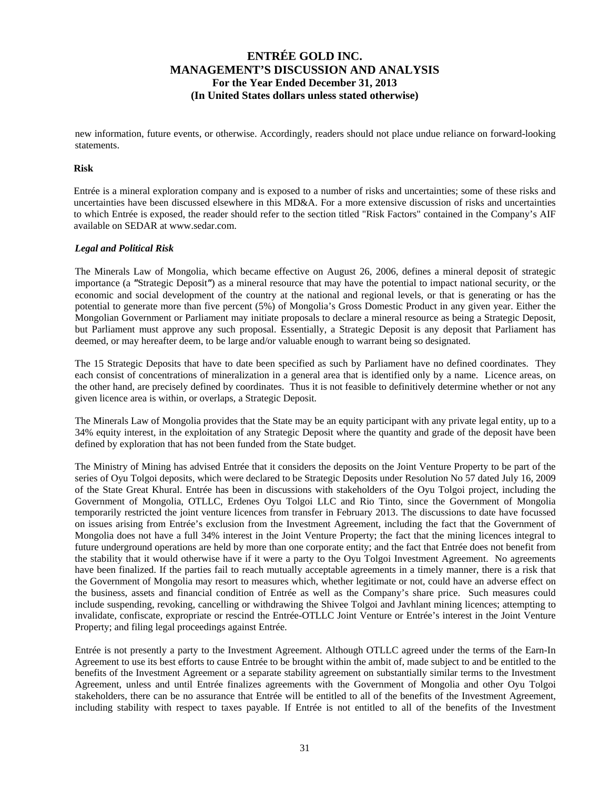new information, future events, or otherwise. Accordingly, readers should not place undue reliance on forward-looking statements.

#### **Risk**

Entrée is a mineral exploration company and is exposed to a number of risks and uncertainties; some of these risks and uncertainties have been discussed elsewhere in this MD&A. For a more extensive discussion of risks and uncertainties to which Entrée is exposed, the reader should refer to the section titled "Risk Factors" contained in the Company's AIF available on SEDAR at www.sedar.com.

### *Legal and Political Risk*

The Minerals Law of Mongolia, which became effective on August 26, 2006, defines a mineral deposit of strategic importance (a *"*Strategic Deposit*"*) as a mineral resource that may have the potential to impact national security, or the economic and social development of the country at the national and regional levels, or that is generating or has the potential to generate more than five percent (5%) of Mongolia's Gross Domestic Product in any given year. Either the Mongolian Government or Parliament may initiate proposals to declare a mineral resource as being a Strategic Deposit, but Parliament must approve any such proposal. Essentially, a Strategic Deposit is any deposit that Parliament has deemed, or may hereafter deem, to be large and/or valuable enough to warrant being so designated.

The 15 Strategic Deposits that have to date been specified as such by Parliament have no defined coordinates. They each consist of concentrations of mineralization in a general area that is identified only by a name. Licence areas, on the other hand, are precisely defined by coordinates. Thus it is not feasible to definitively determine whether or not any given licence area is within, or overlaps, a Strategic Deposit.

The Minerals Law of Mongolia provides that the State may be an equity participant with any private legal entity, up to a 34% equity interest, in the exploitation of any Strategic Deposit where the quantity and grade of the deposit have been defined by exploration that has not been funded from the State budget.

The Ministry of Mining has advised Entrée that it considers the deposits on the Joint Venture Property to be part of the series of Oyu Tolgoi deposits, which were declared to be Strategic Deposits under Resolution No 57 dated July 16, 2009 of the State Great Khural. Entrée has been in discussions with stakeholders of the Oyu Tolgoi project, including the Government of Mongolia, OTLLC, Erdenes Oyu Tolgoi LLC and Rio Tinto, since the Government of Mongolia temporarily restricted the joint venture licences from transfer in February 2013. The discussions to date have focussed on issues arising from Entrée's exclusion from the Investment Agreement, including the fact that the Government of Mongolia does not have a full 34% interest in the Joint Venture Property; the fact that the mining licences integral to future underground operations are held by more than one corporate entity; and the fact that Entrée does not benefit from the stability that it would otherwise have if it were a party to the Oyu Tolgoi Investment Agreement. No agreements have been finalized. If the parties fail to reach mutually acceptable agreements in a timely manner, there is a risk that the Government of Mongolia may resort to measures which, whether legitimate or not, could have an adverse effect on the business, assets and financial condition of Entrée as well as the Company's share price. Such measures could include suspending, revoking, cancelling or withdrawing the Shivee Tolgoi and Javhlant mining licences; attempting to invalidate, confiscate, expropriate or rescind the Entrée-OTLLC Joint Venture or Entrée's interest in the Joint Venture Property; and filing legal proceedings against Entrée.

Entrée is not presently a party to the Investment Agreement. Although OTLLC agreed under the terms of the Earn-In Agreement to use its best efforts to cause Entrée to be brought within the ambit of, made subject to and be entitled to the benefits of the Investment Agreement or a separate stability agreement on substantially similar terms to the Investment Agreement, unless and until Entrée finalizes agreements with the Government of Mongolia and other Oyu Tolgoi stakeholders, there can be no assurance that Entrée will be entitled to all of the benefits of the Investment Agreement, including stability with respect to taxes payable. If Entrée is not entitled to all of the benefits of the Investment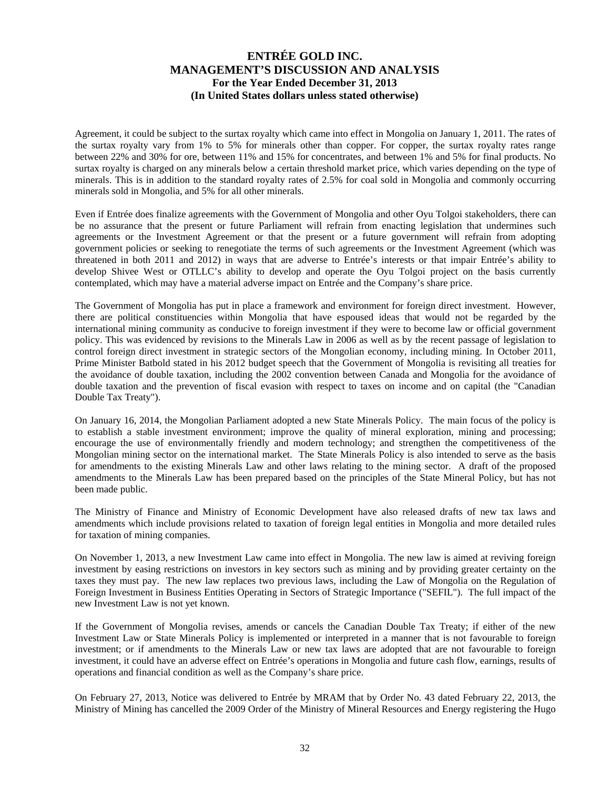Agreement, it could be subject to the surtax royalty which came into effect in Mongolia on January 1, 2011. The rates of the surtax royalty vary from 1% to 5% for minerals other than copper. For copper, the surtax royalty rates range between 22% and 30% for ore, between 11% and 15% for concentrates, and between 1% and 5% for final products. No surtax royalty is charged on any minerals below a certain threshold market price, which varies depending on the type of minerals. This is in addition to the standard royalty rates of 2.5% for coal sold in Mongolia and commonly occurring minerals sold in Mongolia, and 5% for all other minerals.

Even if Entrée does finalize agreements with the Government of Mongolia and other Oyu Tolgoi stakeholders, there can be no assurance that the present or future Parliament will refrain from enacting legislation that undermines such agreements or the Investment Agreement or that the present or a future government will refrain from adopting government policies or seeking to renegotiate the terms of such agreements or the Investment Agreement (which was threatened in both 2011 and 2012) in ways that are adverse to Entrée's interests or that impair Entrée's ability to develop Shivee West or OTLLC's ability to develop and operate the Oyu Tolgoi project on the basis currently contemplated, which may have a material adverse impact on Entrée and the Company's share price.

The Government of Mongolia has put in place a framework and environment for foreign direct investment. However, there are political constituencies within Mongolia that have espoused ideas that would not be regarded by the international mining community as conducive to foreign investment if they were to become law or official government policy. This was evidenced by revisions to the Minerals Law in 2006 as well as by the recent passage of legislation to control foreign direct investment in strategic sectors of the Mongolian economy, including mining. In October 2011, Prime Minister Batbold stated in his 2012 budget speech that the Government of Mongolia is revisiting all treaties for the avoidance of double taxation, including the 2002 convention between Canada and Mongolia for the avoidance of double taxation and the prevention of fiscal evasion with respect to taxes on income and on capital (the "Canadian Double Tax Treaty").

On January 16, 2014, the Mongolian Parliament adopted a new State Minerals Policy. The main focus of the policy is to establish a stable investment environment; improve the quality of mineral exploration, mining and processing; encourage the use of environmentally friendly and modern technology; and strengthen the competitiveness of the Mongolian mining sector on the international market. The State Minerals Policy is also intended to serve as the basis for amendments to the existing Minerals Law and other laws relating to the mining sector. A draft of the proposed amendments to the Minerals Law has been prepared based on the principles of the State Mineral Policy, but has not been made public.

The Ministry of Finance and Ministry of Economic Development have also released drafts of new tax laws and amendments which include provisions related to taxation of foreign legal entities in Mongolia and more detailed rules for taxation of mining companies.

On November 1, 2013, a new Investment Law came into effect in Mongolia. The new law is aimed at reviving foreign investment by easing restrictions on investors in key sectors such as mining and by providing greater certainty on the taxes they must pay. The new law replaces two previous laws, including the Law of Mongolia on the Regulation of Foreign Investment in Business Entities Operating in Sectors of Strategic Importance ("SEFIL"). The full impact of the new Investment Law is not yet known.

If the Government of Mongolia revises, amends or cancels the Canadian Double Tax Treaty; if either of the new Investment Law or State Minerals Policy is implemented or interpreted in a manner that is not favourable to foreign investment; or if amendments to the Minerals Law or new tax laws are adopted that are not favourable to foreign investment, it could have an adverse effect on Entrée's operations in Mongolia and future cash flow, earnings, results of operations and financial condition as well as the Company's share price.

On February 27, 2013, Notice was delivered to Entrée by MRAM that by Order No. 43 dated February 22, 2013, the Ministry of Mining has cancelled the 2009 Order of the Ministry of Mineral Resources and Energy registering the Hugo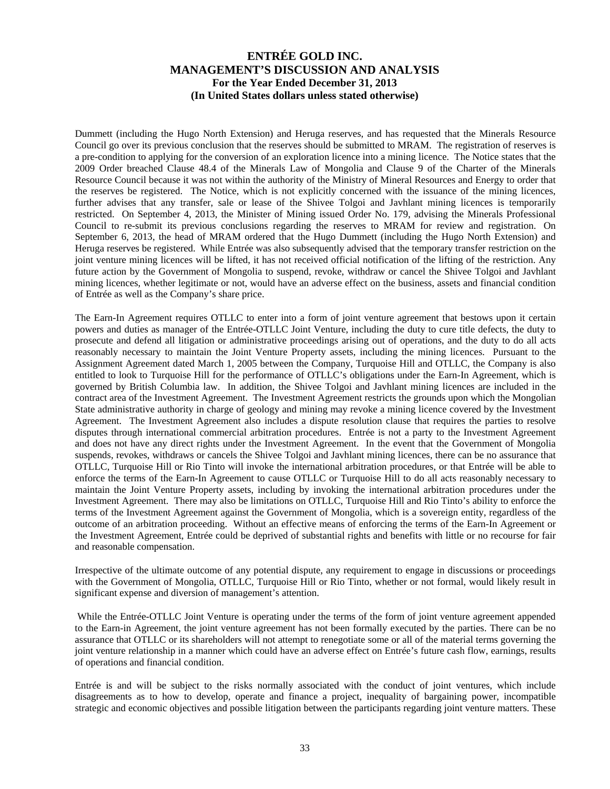Dummett (including the Hugo North Extension) and Heruga reserves, and has requested that the Minerals Resource Council go over its previous conclusion that the reserves should be submitted to MRAM. The registration of reserves is a pre-condition to applying for the conversion of an exploration licence into a mining licence. The Notice states that the 2009 Order breached Clause 48.4 of the Minerals Law of Mongolia and Clause 9 of the Charter of the Minerals Resource Council because it was not within the authority of the Ministry of Mineral Resources and Energy to order that the reserves be registered. The Notice, which is not explicitly concerned with the issuance of the mining licences, further advises that any transfer, sale or lease of the Shivee Tolgoi and Javhlant mining licences is temporarily restricted. On September 4, 2013, the Minister of Mining issued Order No. 179, advising the Minerals Professional Council to re-submit its previous conclusions regarding the reserves to MRAM for review and registration. On September 6, 2013, the head of MRAM ordered that the Hugo Dummett (including the Hugo North Extension) and Heruga reserves be registered. While Entrée was also subsequently advised that the temporary transfer restriction on the joint venture mining licences will be lifted, it has not received official notification of the lifting of the restriction. Any future action by the Government of Mongolia to suspend, revoke, withdraw or cancel the Shivee Tolgoi and Javhlant mining licences, whether legitimate or not, would have an adverse effect on the business, assets and financial condition of Entrée as well as the Company's share price.

The Earn-In Agreement requires OTLLC to enter into a form of joint venture agreement that bestows upon it certain powers and duties as manager of the Entrée-OTLLC Joint Venture, including the duty to cure title defects, the duty to prosecute and defend all litigation or administrative proceedings arising out of operations, and the duty to do all acts reasonably necessary to maintain the Joint Venture Property assets, including the mining licences. Pursuant to the Assignment Agreement dated March 1, 2005 between the Company, Turquoise Hill and OTLLC, the Company is also entitled to look to Turquoise Hill for the performance of OTLLC's obligations under the Earn-In Agreement, which is governed by British Columbia law. In addition, the Shivee Tolgoi and Javhlant mining licences are included in the contract area of the Investment Agreement. The Investment Agreement restricts the grounds upon which the Mongolian State administrative authority in charge of geology and mining may revoke a mining licence covered by the Investment Agreement. The Investment Agreement also includes a dispute resolution clause that requires the parties to resolve disputes through international commercial arbitration procedures. Entrée is not a party to the Investment Agreement and does not have any direct rights under the Investment Agreement. In the event that the Government of Mongolia suspends, revokes, withdraws or cancels the Shivee Tolgoi and Javhlant mining licences, there can be no assurance that OTLLC, Turquoise Hill or Rio Tinto will invoke the international arbitration procedures, or that Entrée will be able to enforce the terms of the Earn-In Agreement to cause OTLLC or Turquoise Hill to do all acts reasonably necessary to maintain the Joint Venture Property assets, including by invoking the international arbitration procedures under the Investment Agreement. There may also be limitations on OTLLC, Turquoise Hill and Rio Tinto's ability to enforce the terms of the Investment Agreement against the Government of Mongolia, which is a sovereign entity, regardless of the outcome of an arbitration proceeding. Without an effective means of enforcing the terms of the Earn-In Agreement or the Investment Agreement, Entrée could be deprived of substantial rights and benefits with little or no recourse for fair and reasonable compensation.

Irrespective of the ultimate outcome of any potential dispute, any requirement to engage in discussions or proceedings with the Government of Mongolia, OTLLC, Turquoise Hill or Rio Tinto, whether or not formal, would likely result in significant expense and diversion of management's attention.

 While the Entrée-OTLLC Joint Venture is operating under the terms of the form of joint venture agreement appended to the Earn-in Agreement, the joint venture agreement has not been formally executed by the parties. There can be no assurance that OTLLC or its shareholders will not attempt to renegotiate some or all of the material terms governing the joint venture relationship in a manner which could have an adverse effect on Entrée's future cash flow, earnings, results of operations and financial condition.

Entrée is and will be subject to the risks normally associated with the conduct of joint ventures, which include disagreements as to how to develop, operate and finance a project, inequality of bargaining power, incompatible strategic and economic objectives and possible litigation between the participants regarding joint venture matters. These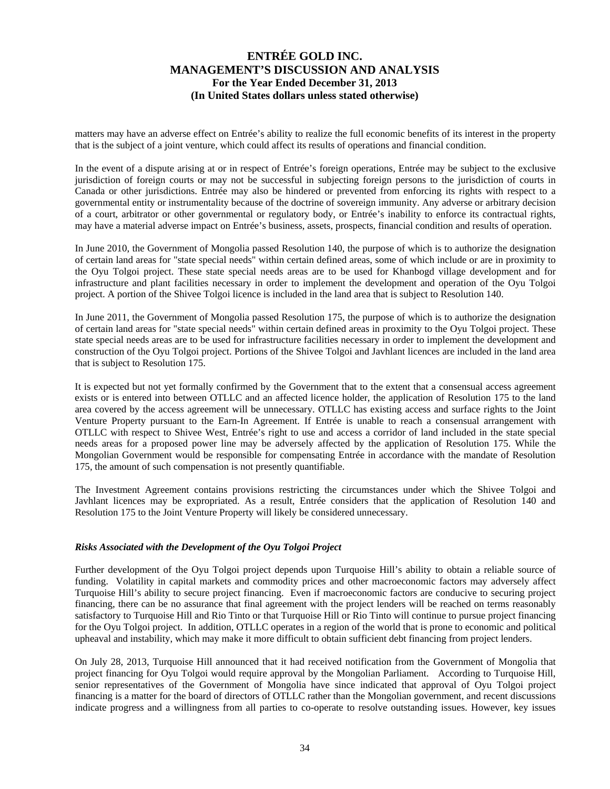matters may have an adverse effect on Entrée's ability to realize the full economic benefits of its interest in the property that is the subject of a joint venture, which could affect its results of operations and financial condition.

In the event of a dispute arising at or in respect of Entrée's foreign operations, Entrée may be subject to the exclusive jurisdiction of foreign courts or may not be successful in subjecting foreign persons to the jurisdiction of courts in Canada or other jurisdictions. Entrée may also be hindered or prevented from enforcing its rights with respect to a governmental entity or instrumentality because of the doctrine of sovereign immunity. Any adverse or arbitrary decision of a court, arbitrator or other governmental or regulatory body, or Entrée's inability to enforce its contractual rights, may have a material adverse impact on Entrée's business, assets, prospects, financial condition and results of operation.

In June 2010, the Government of Mongolia passed Resolution 140, the purpose of which is to authorize the designation of certain land areas for "state special needs" within certain defined areas, some of which include or are in proximity to the Oyu Tolgoi project. These state special needs areas are to be used for Khanbogd village development and for infrastructure and plant facilities necessary in order to implement the development and operation of the Oyu Tolgoi project. A portion of the Shivee Tolgoi licence is included in the land area that is subject to Resolution 140.

In June 2011, the Government of Mongolia passed Resolution 175, the purpose of which is to authorize the designation of certain land areas for "state special needs" within certain defined areas in proximity to the Oyu Tolgoi project. These state special needs areas are to be used for infrastructure facilities necessary in order to implement the development and construction of the Oyu Tolgoi project. Portions of the Shivee Tolgoi and Javhlant licences are included in the land area that is subject to Resolution 175.

It is expected but not yet formally confirmed by the Government that to the extent that a consensual access agreement exists or is entered into between OTLLC and an affected licence holder, the application of Resolution 175 to the land area covered by the access agreement will be unnecessary. OTLLC has existing access and surface rights to the Joint Venture Property pursuant to the Earn-In Agreement. If Entrée is unable to reach a consensual arrangement with OTLLC with respect to Shivee West, Entrée's right to use and access a corridor of land included in the state special needs areas for a proposed power line may be adversely affected by the application of Resolution 175. While the Mongolian Government would be responsible for compensating Entrée in accordance with the mandate of Resolution 175, the amount of such compensation is not presently quantifiable.

The Investment Agreement contains provisions restricting the circumstances under which the Shivee Tolgoi and Javhlant licences may be expropriated. As a result, Entrée considers that the application of Resolution 140 and Resolution 175 to the Joint Venture Property will likely be considered unnecessary.

### *Risks Associated with the Development of the Oyu Tolgoi Project*

Further development of the Oyu Tolgoi project depends upon Turquoise Hill's ability to obtain a reliable source of funding. Volatility in capital markets and commodity prices and other macroeconomic factors may adversely affect Turquoise Hill's ability to secure project financing. Even if macroeconomic factors are conducive to securing project financing, there can be no assurance that final agreement with the project lenders will be reached on terms reasonably satisfactory to Turquoise Hill and Rio Tinto or that Turquoise Hill or Rio Tinto will continue to pursue project financing for the Oyu Tolgoi project. In addition, OTLLC operates in a region of the world that is prone to economic and political upheaval and instability, which may make it more difficult to obtain sufficient debt financing from project lenders.

On July 28, 2013, Turquoise Hill announced that it had received notification from the Government of Mongolia that project financing for Oyu Tolgoi would require approval by the Mongolian Parliament. According to Turquoise Hill, senior representatives of the Government of Mongolia have since indicated that approval of Oyu Tolgoi project financing is a matter for the board of directors of OTLLC rather than the Mongolian government, and recent discussions indicate progress and a willingness from all parties to co-operate to resolve outstanding issues. However, key issues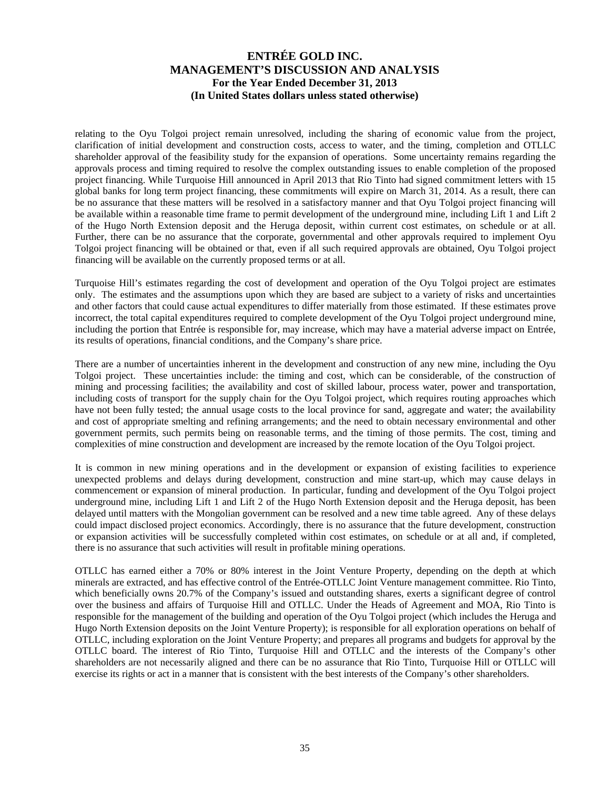relating to the Oyu Tolgoi project remain unresolved, including the sharing of economic value from the project, clarification of initial development and construction costs, access to water, and the timing, completion and OTLLC shareholder approval of the feasibility study for the expansion of operations. Some uncertainty remains regarding the approvals process and timing required to resolve the complex outstanding issues to enable completion of the proposed project financing. While Turquoise Hill announced in April 2013 that Rio Tinto had signed commitment letters with 15 global banks for long term project financing, these commitments will expire on March 31, 2014. As a result, there can be no assurance that these matters will be resolved in a satisfactory manner and that Oyu Tolgoi project financing will be available within a reasonable time frame to permit development of the underground mine, including Lift 1 and Lift 2 of the Hugo North Extension deposit and the Heruga deposit, within current cost estimates, on schedule or at all. Further, there can be no assurance that the corporate, governmental and other approvals required to implement Oyu Tolgoi project financing will be obtained or that, even if all such required approvals are obtained, Oyu Tolgoi project financing will be available on the currently proposed terms or at all.

Turquoise Hill's estimates regarding the cost of development and operation of the Oyu Tolgoi project are estimates only. The estimates and the assumptions upon which they are based are subject to a variety of risks and uncertainties and other factors that could cause actual expenditures to differ materially from those estimated. If these estimates prove incorrect, the total capital expenditures required to complete development of the Oyu Tolgoi project underground mine, including the portion that Entrée is responsible for, may increase, which may have a material adverse impact on Entrée, its results of operations, financial conditions, and the Company's share price.

There are a number of uncertainties inherent in the development and construction of any new mine, including the Oyu Tolgoi project. These uncertainties include: the timing and cost, which can be considerable, of the construction of mining and processing facilities; the availability and cost of skilled labour, process water, power and transportation, including costs of transport for the supply chain for the Oyu Tolgoi project, which requires routing approaches which have not been fully tested; the annual usage costs to the local province for sand, aggregate and water; the availability and cost of appropriate smelting and refining arrangements; and the need to obtain necessary environmental and other government permits, such permits being on reasonable terms, and the timing of those permits. The cost, timing and complexities of mine construction and development are increased by the remote location of the Oyu Tolgoi project.

It is common in new mining operations and in the development or expansion of existing facilities to experience unexpected problems and delays during development, construction and mine start-up, which may cause delays in commencement or expansion of mineral production. In particular, funding and development of the Oyu Tolgoi project underground mine, including Lift 1 and Lift 2 of the Hugo North Extension deposit and the Heruga deposit, has been delayed until matters with the Mongolian government can be resolved and a new time table agreed. Any of these delays could impact disclosed project economics. Accordingly, there is no assurance that the future development, construction or expansion activities will be successfully completed within cost estimates, on schedule or at all and, if completed, there is no assurance that such activities will result in profitable mining operations.

OTLLC has earned either a 70% or 80% interest in the Joint Venture Property, depending on the depth at which minerals are extracted, and has effective control of the Entrée-OTLLC Joint Venture management committee. Rio Tinto, which beneficially owns 20.7% of the Company's issued and outstanding shares, exerts a significant degree of control over the business and affairs of Turquoise Hill and OTLLC. Under the Heads of Agreement and MOA, Rio Tinto is responsible for the management of the building and operation of the Oyu Tolgoi project (which includes the Heruga and Hugo North Extension deposits on the Joint Venture Property); is responsible for all exploration operations on behalf of OTLLC, including exploration on the Joint Venture Property; and prepares all programs and budgets for approval by the OTLLC board. The interest of Rio Tinto, Turquoise Hill and OTLLC and the interests of the Company's other shareholders are not necessarily aligned and there can be no assurance that Rio Tinto, Turquoise Hill or OTLLC will exercise its rights or act in a manner that is consistent with the best interests of the Company's other shareholders.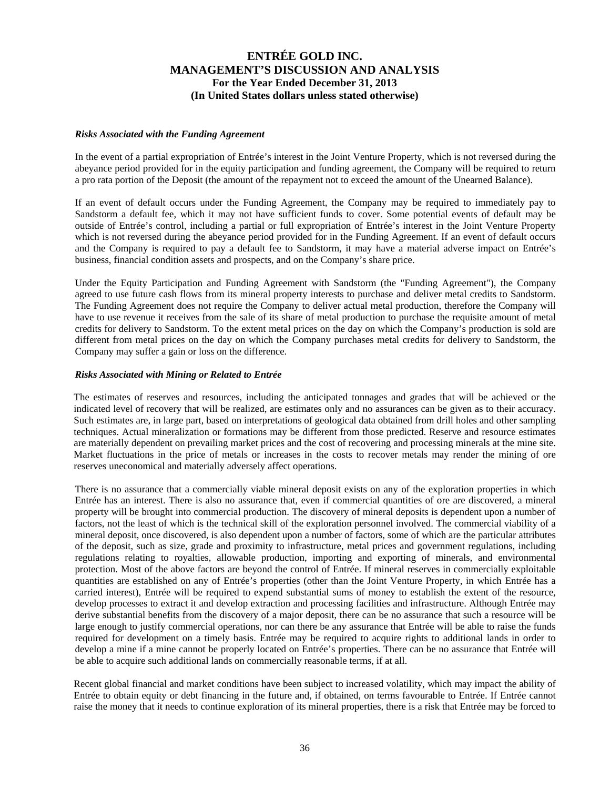#### *Risks Associated with the Funding Agreement*

In the event of a partial expropriation of Entrée's interest in the Joint Venture Property, which is not reversed during the abeyance period provided for in the equity participation and funding agreement, the Company will be required to return a pro rata portion of the Deposit (the amount of the repayment not to exceed the amount of the Unearned Balance).

If an event of default occurs under the Funding Agreement, the Company may be required to immediately pay to Sandstorm a default fee, which it may not have sufficient funds to cover. Some potential events of default may be outside of Entrée's control, including a partial or full expropriation of Entrée's interest in the Joint Venture Property which is not reversed during the abeyance period provided for in the Funding Agreement. If an event of default occurs and the Company is required to pay a default fee to Sandstorm, it may have a material adverse impact on Entrée's business, financial condition assets and prospects, and on the Company's share price.

Under the Equity Participation and Funding Agreement with Sandstorm (the "Funding Agreement"), the Company agreed to use future cash flows from its mineral property interests to purchase and deliver metal credits to Sandstorm. The Funding Agreement does not require the Company to deliver actual metal production, therefore the Company will have to use revenue it receives from the sale of its share of metal production to purchase the requisite amount of metal credits for delivery to Sandstorm. To the extent metal prices on the day on which the Company's production is sold are different from metal prices on the day on which the Company purchases metal credits for delivery to Sandstorm, the Company may suffer a gain or loss on the difference.

### *Risks Associated with Mining or Related to Entrée*

The estimates of reserves and resources, including the anticipated tonnages and grades that will be achieved or the indicated level of recovery that will be realized, are estimates only and no assurances can be given as to their accuracy. Such estimates are, in large part, based on interpretations of geological data obtained from drill holes and other sampling techniques. Actual mineralization or formations may be different from those predicted. Reserve and resource estimates are materially dependent on prevailing market prices and the cost of recovering and processing minerals at the mine site. Market fluctuations in the price of metals or increases in the costs to recover metals may render the mining of ore reserves uneconomical and materially adversely affect operations.

There is no assurance that a commercially viable mineral deposit exists on any of the exploration properties in which Entrée has an interest. There is also no assurance that, even if commercial quantities of ore are discovered, a mineral property will be brought into commercial production. The discovery of mineral deposits is dependent upon a number of factors, not the least of which is the technical skill of the exploration personnel involved. The commercial viability of a mineral deposit, once discovered, is also dependent upon a number of factors, some of which are the particular attributes of the deposit, such as size, grade and proximity to infrastructure, metal prices and government regulations, including regulations relating to royalties, allowable production, importing and exporting of minerals, and environmental protection. Most of the above factors are beyond the control of Entrée. If mineral reserves in commercially exploitable quantities are established on any of Entrée's properties (other than the Joint Venture Property, in which Entrée has a carried interest), Entrée will be required to expend substantial sums of money to establish the extent of the resource, develop processes to extract it and develop extraction and processing facilities and infrastructure. Although Entrée may derive substantial benefits from the discovery of a major deposit, there can be no assurance that such a resource will be large enough to justify commercial operations, nor can there be any assurance that Entrée will be able to raise the funds required for development on a timely basis. Entrée may be required to acquire rights to additional lands in order to develop a mine if a mine cannot be properly located on Entrée's properties. There can be no assurance that Entrée will be able to acquire such additional lands on commercially reasonable terms, if at all.

Recent global financial and market conditions have been subject to increased volatility, which may impact the ability of Entrée to obtain equity or debt financing in the future and, if obtained, on terms favourable to Entrée. If Entrée cannot raise the money that it needs to continue exploration of its mineral properties, there is a risk that Entrée may be forced to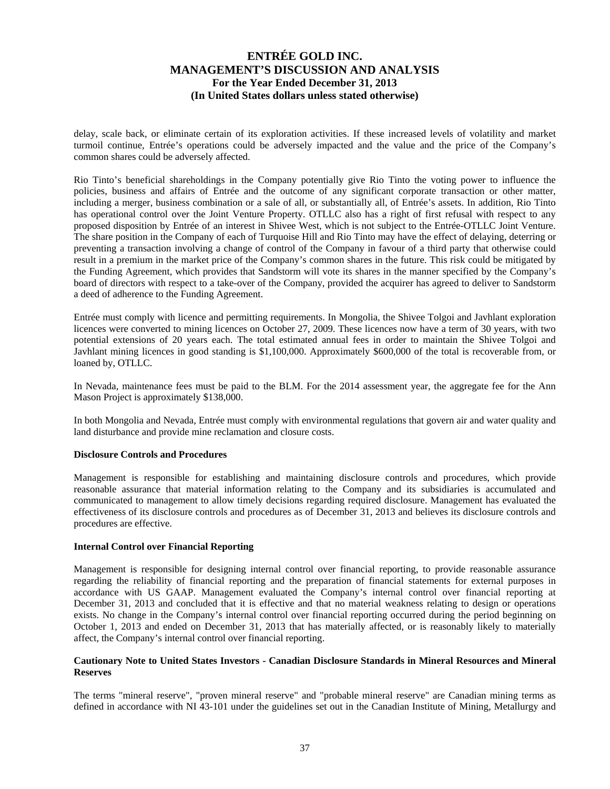delay, scale back, or eliminate certain of its exploration activities. If these increased levels of volatility and market turmoil continue, Entrée's operations could be adversely impacted and the value and the price of the Company's common shares could be adversely affected.

Rio Tinto's beneficial shareholdings in the Company potentially give Rio Tinto the voting power to influence the policies, business and affairs of Entrée and the outcome of any significant corporate transaction or other matter, including a merger, business combination or a sale of all, or substantially all, of Entrée's assets. In addition, Rio Tinto has operational control over the Joint Venture Property. OTLLC also has a right of first refusal with respect to any proposed disposition by Entrée of an interest in Shivee West, which is not subject to the Entrée-OTLLC Joint Venture. The share position in the Company of each of Turquoise Hill and Rio Tinto may have the effect of delaying, deterring or preventing a transaction involving a change of control of the Company in favour of a third party that otherwise could result in a premium in the market price of the Company's common shares in the future. This risk could be mitigated by the Funding Agreement, which provides that Sandstorm will vote its shares in the manner specified by the Company's board of directors with respect to a take-over of the Company, provided the acquirer has agreed to deliver to Sandstorm a deed of adherence to the Funding Agreement.

Entrée must comply with licence and permitting requirements. In Mongolia, the Shivee Tolgoi and Javhlant exploration licences were converted to mining licences on October 27, 2009. These licences now have a term of 30 years, with two potential extensions of 20 years each. The total estimated annual fees in order to maintain the Shivee Tolgoi and Javhlant mining licences in good standing is \$1,100,000. Approximately \$600,000 of the total is recoverable from, or loaned by, OTLLC.

In Nevada, maintenance fees must be paid to the BLM. For the 2014 assessment year, the aggregate fee for the Ann Mason Project is approximately \$138,000.

In both Mongolia and Nevada, Entrée must comply with environmental regulations that govern air and water quality and land disturbance and provide mine reclamation and closure costs.

### **Disclosure Controls and Procedures**

Management is responsible for establishing and maintaining disclosure controls and procedures, which provide reasonable assurance that material information relating to the Company and its subsidiaries is accumulated and communicated to management to allow timely decisions regarding required disclosure. Management has evaluated the effectiveness of its disclosure controls and procedures as of December 31, 2013 and believes its disclosure controls and procedures are effective.

#### **Internal Control over Financial Reporting**

Management is responsible for designing internal control over financial reporting, to provide reasonable assurance regarding the reliability of financial reporting and the preparation of financial statements for external purposes in accordance with US GAAP. Management evaluated the Company's internal control over financial reporting at December 31, 2013 and concluded that it is effective and that no material weakness relating to design or operations exists. No change in the Company's internal control over financial reporting occurred during the period beginning on October 1, 2013 and ended on December 31, 2013 that has materially affected, or is reasonably likely to materially affect, the Company's internal control over financial reporting.

### **Cautionary Note to United States Investors - Canadian Disclosure Standards in Mineral Resources and Mineral Reserves**

The terms "mineral reserve", "proven mineral reserve" and "probable mineral reserve" are Canadian mining terms as defined in accordance with NI 43-101 under the guidelines set out in the Canadian Institute of Mining, Metallurgy and